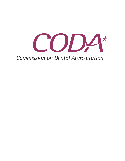

# **Commission on Dental Accreditation**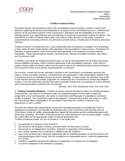

## **Conflict of Interest Policy**

Evaluation policies and procedures used in the accreditation process provide a system of checks and balances regarding the fairness and impartiality in all aspects of the accreditation process. Central to the fairness of the procedural aspects of the Commission's operations and the impartiality of its decision making process is an organizational and personal duty to avoid real or perceived conflicts of interest. The potential for a conflict of interest arises when one's duty to make decisions in the public's interest is compromised by competing interests of a personal or private nature, including but not limited to pecuniary interests.

Conflict of interest is considered to be: 1) any relationship with an institution or program, or 2) a partiality or bias, either of which might interfere with objectivity in the accreditation review process. Procedures for selection of representatives of the Commission who participate in the evaluation process reinforce impartiality. These representatives include: Commissioners, Review Committee members, site visitors, and Commission staff.

In addition, procedures for institutional due process, as well as strict guidelines for all written documents and accreditation decisions, further reinforce adherence to fair accreditation practices. Every effort is made to avoid conflict of interest, either from the point of view of an institution/program being reviewed or from the point of view of any person representing the Commission.

On occasion, current and former volunteers involved in the Commission's accreditation process (site visitors, review committee members, commissioners) are requested to make presentations related to the Commission and its accreditation process at various meetings. In these cases, the volunteer must make it clear that the services are neither supported nor endorsed by the Commission on Dental Accreditation. Further, it must be made clear that the information provided is based only on experiences of the individual and not being provided on behalf of the Commission.

Revised: 8/15; 8/14; Reaffirmed: 8/18; 2/18; 8/12, 8/10

**1. Visiting Committee Members:** Conflicts of interest may be identified by either an institution/program, Commissioner, site visitor or Commission staff. An institution/program has the right to reject the assignment of any Commissioner, site visitor or Commission staff because of a possible or perceived conflict of interest. The Commission expects all programs, Commissioners and/or site visitors to notify the Commission office immediately if, for any reason, there may be a conflict of interest or the appearance of such a conflict.

All active site visitors who independently consult with educational programs accredited by CODA or applying for accreditation must identify all consulting roles to the Commission and must file with the Commission a letter of conflict acknowledgement signed by themselves and the institution/program with whom they consulted. All conflict of interest policies as noted elsewhere in this document apply. Contact the CODA office for the appropriate conflict of interest declaration form. Conflicts of interest include, but are not limited to, a site visitor who:

- is a graduate of a program at the institution;
- has served on the program's visiting committee within the last seven (7) years;
- has served as an independent consultant, employee or appointee of the institution;
- has a family member who is employed or affiliated with the institution;
- has a close professional or personal relationship with the institution/program or key personnel in the institution/program which would, from the standpoint of a reasonable person, create the appearance of a conflict;
- manifests a partiality that prevents objective consideration of a program for accreditation;
- is a former employee of the institution or program;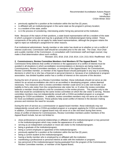

- previously applied for a position at the institution within the last five (5) years;
- is affiliated with an institution/program in the same state as the program's primary location;
- is a resident of the state; and/or
- is in the process of considering, interviewing and/or hiring key personnel at the institution.

Note: Because of the nature of their positions, a state board representative will be a resident of the state in which a program is located and may be a graduate of the institution/program being visited. These components of the policy do not apply for state board representatives, although the program retains the right to reject an individual's assignment for other reasons.

If an institutional administrator, faculty member or site visitor has doubt as to whether or not a conflict of interest could exist, Commission staff should be consulted prior to the site visit. The Chair, Vice-Chair and a public member of the Commission, in consultation with Commission staff and legal counsel, may make a final determination about such conflicts.

Revised: 2/21; 8/18; 2/18; 2/16; 8/14; 1/14; 2/13; 8/10; Reaffirmed: 8/12

**2. Commissioners, Review Committee Members And Members Of The Appeal Board:** The Commission firmly believes that conflict of interest or the appearance of a conflict of interest must be avoided in all situations in which accreditation recommendations or decisions are being made by Commissioners, Review Committee members, or members of the Appeal Board. No Commissioner, Review Committee member, or member of the Appeal Board should participate in any way in accrediting decisions in which he or she has a financial or personal interest or, because of an institutional or program association, has divided loyalties and/or has a conflict of interest on the outcome of the decision.

During the term of service as a Review Committee member, these individuals should not serve as site visitors for an actual accreditation site visit to an accredited or developing program, unless deemed necessary. Two instances when a review committee member could serve on a site visit include: 1) an inability to find a site visitor from the comprehensive site visitor list, or 2) when the review committee believes a member should attend a visit for consistency in the review process. This applies only to site visits that would be considered by the same review committee on which the site visitor is serving. Review committee members may not independently consult with a CODA-accredited program or a program applying for CODA accreditation. In addition, review committee members may not serve as a site visitor for mock accreditation purposes. These policies help avoid conflict of interest in the decision making process and minimize the need for recusals.

During the term of service as a commissioner or appeal board member, these individuals may not independently consult with a CODA-accredited program or a program applying for CODA accreditation. In addition, Commissioners or appeal board may not serve on a site visit team during their terms. Areas of conflict of interest for Commissioners, Review Committee members and/or members of the Appeal Board include, but are not limited to:

- close professional or personal relationships or affiliation with the institution/program or key personnel in the institution/program which may create the appearance of a conflict;
- serving as an independent consultant or mock site visitor to the institution/program;
- being a graduate of the institution/program;
- being a current employee or appointee of the institution/program;
- previously applied for a position at the institution within the last five (5) years;
- being a current student at the institution/program:
- having a family member who is employed by or affiliated with the institution;
- manifesting a professional or personal interest at odds with the institution or program;
- key personnel of the institution/program having graduated from the program of the Commissioner, Review Committee member, or member of the Appeal Board;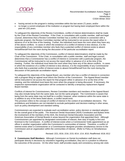

- having served on the program's visiting committee within the last seven (7) years; and/or
- no longer a current employee of the institution or program but having been employed there within the past ten (10) years.

To safeguard the objectivity of the Review Committees, conflict of interest determinations shall be made by the Chair of the Review Committee. If the Chair, in consultation with a public member, staff and legal counsel, determines that a Review Committee member has a conflict of interest in connection with a particular program, the Review Committee member will be instructed to not access the report either in advance of or at the time of the meeting. Further, the individual must leave the room when they have any of the above conflicts. In cases in which the existence of a conflict of interest is less obvious, it is the responsibility of any committee member who feels that a potential conflict of interest exists to absent himself/herself from the room during the discussion of the particular accreditation report.

To safeguard the objectivity of the Commission, conflict of interest determinations shall be made by the Chair of the Commission. If the Chair, in consultation with a public member, staff and legal counsel, determines that a Commissioner has a conflict of interest in connection with a particular program, the Commissioner will be instructed to not access the report either in advance of or at the time of the meeting. Further, the individual must leave the room when they have any of the above conflicts. In cases in which the existence of a conflict of interest is less obvious, it is the responsibility of any Commissioner who feels that a potential conflict of interest exists to absent himself/herself from the room during the discussion of the particular accreditation report.

To safeguard the objectivity of the Appeal Board, any member who has a conflict of interest in connection with a program filing an appeal must inform the Director of the Commission. The Appeal Board member will be instructed to not access the report for that program either in advance of or at the time of the meeting, and the individual must leave the room when the program is being discussed. If necessary, the respective representative organization will be contacted to identify a temporary replacement Appeal Board member.

Conflicts of interest for Commissioners, Review Committee members and members of the Appeal Board may also include being from the same state, but not the same program. The Commission is aware that being from the same state may not itself be a conflict; however, when residence within the same state is in addition to any of the items listed above, a conflict would exist.

This provision refers to the concept of conflict of interest in the context of accreditation decisions. The prohibitions and limitations are not intended to exclude participation and decision-making in other areas, such as policy development and standard setting.

Commissioners are expected to evaluate each accreditation action, policy decision or standard adoption for the overall good of the public. The American Dental Association (ADA) Constitution and Bylaws limits the involvement of the members of the ADA, the American Dental Education Association and the American Association of Dental Boards in areas beyond the organization that appointed them. Although Commissioners are appointed by designated communities of interest, their duty of loyalty is first and foremost to the Commission. A conflict of interest exists when a Commissioner holds appointment as an officer in another organization within the Commission's communities of interest. Therefore, a conflict of interest exists when a Commissioner or a Commissioner-designee provides simultaneous service to the Commission and an organization within the communities of interest. (Refer to Policy on Simultaneous Service)

Revised: 2/21; 8/16; 2/16; 2/15; 8/14; 1/14, 8/10; Reaffirmed: 8/18; 8/12

**3. Commission Staff Members**: Although Commission on Dental Accreditation staff does not participate directly in decisions by volunteers regarding accreditation, they are in a position to influence the outcomes of the process. On the other hand, staff provides equity and consistency among site visits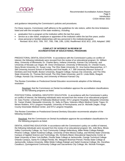

and guidance interpreting the Commission's policies and procedures.

For these reasons, Commission staff adheres to the guidelines for site visitors, within the time limitations listed and with the exception of the state residency, including:

- graduation from a program at the institution within the last five years;
- service as a site visitor, employee or appointee of the institution within the last five years; and/or
- close personal or familial relationships with key personnel in the institution/program.
	- Revised: 8/14; 8/10, 7/09, 7/07, 7/00, 7/96, 1/95, 12/92; Reaffirmed: 8/18; 8/12, 1/03; Adopted: 1982

#### **CONFLICT OF INTEREST IN REVIEW OF ACCREDITATION OF EDUCATIONAL PROGRAMS**

PREDOCTORAL DENTAL EDUCATION: In accordance with the Commission's policy on conflict of interest, the following individuals were recused from the review of an educational program: Dr. William Akey, University of Minnesota; Dr. Charles Berry, Indiana University, Kansas City University, and University of Nevada Las Vegas; Mr. Drew Christianson, University of Minnesota; Dr. Chester Evans, Stony Brook University; Dr. Susan Long, The Ohio State University; Dr. Ana Karina Mascarenhas, A.T. Still University Arizona School of Dentistry and Oral Health, A.T. Still University Missouri School of Dentistry and Oral Health, Boston University, Ilisagvik College, Kansas City University, and The Ohio State University; Dr. Thomas McConnell, The Ohio State University; and Dr. Linda Wells, Ilisagvik College, Kansas City University, and University of Missouri Kansas City.

The Review Committee on Predoctoral Dental Education recommends adoption of the following resolution:

Resolved, that the Commission on Dental Accreditation approve the accreditation classifications for the following programs as listed.

POSTDOCTORAL GENERAL DENTISTRY EDUCATION: In accordance with the Commission's policy on conflict of interest, the following individuals were recused from the review of an educational program: Dr. Gary Fischer, University of Nebraska Medical Center, NYU Langone Hospitals, Marquette University; Dr. Yasser Khaled, Marquette University; Dr. Sally-Jo Placa, Veterans Affairs Medical Center Togus; Dr. Miriam Robbins, NYU Langone Hospitals, University of Pennsylvania; and Dr. Michelle Ziegler, Kings County Downstate Medical Center, and NYU Langone Hospitals.

The Review Committee on Postdoctoral General Dentistry Education recommends adoption of the following resolution:

Resolved, that the Commission on Dental Accreditation approve the accreditation classifications for the following programs as listed.

DENTAL ASSISTING EDUCATION: In accordance with the Commission's policy on conflict of interest, the following individuals were recused from the review of an educational program: Ms. Julie Bera, Illinois Valley Community College, Ivy Tech Community College-Sellersburg, Miller-Motte College-Raleigh, Phoenix College, Salish Kootenai College, University of New Mexico-Gallup, and Wichita State University Campus of Applied Science and Technology; Ms. Kimberly Bland, Educational Opportunity Center at State University of New York Buffalo, Florida State College at Jacksonville, Orange Technical College-Orlando Campus, Santa Fe College-Florida; Ms. Margaret Bowman-Pensel, Florida State College at Jacksonville, Indiana University, Miller-Motte College-Raleigh and Salish Kootenai College; Ms. Dorothea Cavallucci, Quinsigamond Community College and Sacramento City College; Ms. Nichole Finnegan,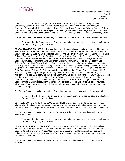

Davidson-Davie Community College; Ms. Martha McCaslin, Albany Technical College, St. Louis Community College-Forest Park; Ms. Kori Preble-Boeckler, Middlesex Community College, NHTI Concord's Community College; Ms. Christy Ross, Davidson-Davie Community College, Eastern Gateway Community College, Fortis Institute-Wayne, Horry-Georgetown Technical College, Ivy Tech Community College-Sellersburg, and South College; and Dr. Debra Schneider, Central Piedmont Community College.

The Review Committee on Dental Assisting Education recommends adoption of the following resolution:

Resolved, that the Commission on Dental Accreditation approve the accreditation classifications for the following programs as listed.

DENTAL HYGIENE EDUCATION: In accordance with the Commission's policy on conflict of interest, the following individuals were recused from the review of an educational program: Ms. Tami Grzesikowski, Midwestern State Univeristy, St. Petersburg College, and University of Michigan; Ms. Carrie Hobbs, Blinn College, Century College, Coastal Bend College, Collin College, Concorde Career College-Dallas, Concorde Career College-Garden Grove, Dallas College, Kellogg Community College, Lone Star College-Kingwood, Midwestern State Univeristy, Sinclair Community College, and UT Health San Antonio; Dr. Lorie Holt, Concorde Career College-Kansas City, and University of Missouri-Kansas City; Dr. Tariq Javed, Trident Technical College, University of Minnesota, and University of Missouri-Kansas City; Ms. Betty Kabel, Asheville-Buncombe Community College, Florida State College at Jacksonville, Palm Beach State College, St. Petersburg College, and University of North Carolina at Chapel Hill; Dr. Barbara Krieg-Menning, Hawkeye Community College; Dr. Susan Kass, Florida State College at Jacksonville, Indiana University, and St. Louis Community College-Forest Park; Ms. Laura Scully, College of Lake County, Harper College, Illinois Central College, and Prairie State College; and Dr. Sheila Vandenbush, Blinn College, Cabrillo College, Coastal Bend College, Collin College, Concorde Career College-Dallas, Dallas College, Horry-Georgetown Technical College, Lone Star College-Kingwood, Midwestern State Univeristy, UT Health San Antonio, Wayne Community College, and West Georgia Technical College.

The Review Committee on Dental Hygiene Education recommends adoption of the following resolution:

Resolved, that the Commission on Dental Accreditation approve the accreditation classifications for the following programs as listed.

DENTAL LABORATORY TECHNOLOGY EDUCATION: In accordance with Commission policy the following individuals recused themselves during the review of an educational program: Mr. Gary Gann, McFatter Technical College and Bates Technical College; and Ms. Lonni Thompson, Indiana University.

The Review Committee on Dental Laboratory Technology Education recommends adoption of the following resolution:

Resolved, that the Commission on Dental Accreditation approve the accreditation classifications for the following programs as listed.

DENTAL PUBLIC HEALTH EDUCATION: In accordance with the Commission's policy on conflict of interest, the following individuals were recused from the review of an educational program: Dr. Victor Badner, Columbia University, Jacobi Medical Center, University of California San Francisco, and University of Rochester; and Dr. Bruce Dye, Columbia University and National Institute of Dental and Craniofacial Research.

The Review Committee on Dental Public Health Education recommends adoption of the following resolution: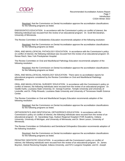

Resolved, that the Commission on Dental Accreditation approve the accreditation classifications for the following programs as listed.

ENDODONTICS EDUCATION: In accordance with the Commission's policy on conflict of interest, the following individual was recused from the review of an educational program: Dr. Scott McClanahan, University of Minnesota.

The Review Committee on Endodontics Education recommends adoption of the following resolution:

Resolved, that the Commission on Dental Accreditation approve the accreditation classifications for the following programs as listed.

ORAL AND MAXILLOFACIAL PATHOLOGY EDUCATION: In accordance with the Commission's policy on conflict of interest, the following individual was recused from the review of an educational program: Dr. Renee Reich, New York Presbyterian Hospital.

The Review Committee on Oral and Maxillofacial Pathology Education recommends adoption of the following resolution:

Resolved, that the Commission on Dental Accreditation approve the accreditation classifications for the following programs as listed.

ORAL AND MAXILLOFACIAL RADIOLOGY EDUCATION: There were no accreditation reports for educational programs considered by the Review Committee on Oral and Maxillofacial Radiology Education.

ORAL AND MAXILLOFACIAL SURGERY EDUCATION: In accordance with the Commission's policy on conflict of interest, the following individuals were recused from the review of an educational program: Dr. Vasiliki Karlis, Louisiana State University; Dr. George Kushner, Temple University and University of Louisville; and Dr. Philip Rinaudo, Louisiana State University and University of Tennessee Health Science **Center** 

The Review Committee on Oral and Maxillofacial Surgery Education recommends adoption of the following resolution:

Resolved, that the Commission on Dental Accreditation approve the accreditation classifications for the following programs as listed.

ORTHODONTICS AND DENTOFACIAL ORTHOPEDICS EDUCATION: In accordance with the Commission's policy on conflict of interest, the following individuals were recused from the review of an educational program: Dr. Sarandeep Huja, Hudson Regional Hospital-CTOR Academy, Indiana University, University of Michigan, and University of Minnesota; and Dr. Brent Larson, University of Minnesota.

The Review Committee on Orthodontics and Dentofacial Orthopedics Education recommends adoption of the following resolution:

Resolved, that the Commission on Dental Accreditation approve the accreditation classifications for the following programs as listed.

PEDIATRIC DENTISTRY EDUCATION: In accordance with the Commission's policy on conflict of interest, the following individuals were recused from the review of an educational program: Dr. James Boynton, Detroit Receiving Hospital, Indiana University, and NYU Langone Hospitals; and Dr. Joseph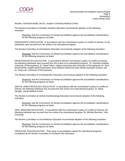

Morales, Northwell Health, and St. Joseph's University Medical Center.

The Review Committee on Pediatric Dentistry Education recommends adoption of the following resolution:

Resolved, that the Commission on Dental Accreditation approve the accreditation classifications for the following programs as listed.

PERIODONTICS EDUCATION: In accordance with the Commission's policy on conflict of interest, no (0) individuals were recused from the review of an educational program.

The Review Committee on Periodontics Education recommends adoption of the following resolution:

Resolved, that the Commission on Dental Accreditation approve the accreditation classifications for the following programs as listed.

PROSTHODONTICS EDUCATION: In accordance with the Commission's policy on conflict of interest, the following individuals were recused from the review of an educational program: Dr. Evanthia Anadioti, University of Pennsylvania; Dr. David Felton, Indiana University and University of Pennsylvania; Dr. Kent Knoernschild, Dwight David Eisenhower Army Medical Center/US Army Dental Activity/Ft Gordon; and Dr. Sang Lee, University of Pennsylvania.

The Review Committee on Prosthodontics Education recommends adoption of the following resolution:

Resolved, that the Commission on Dental Accreditation approve the accreditation classifications for the following programs as listed.

DENTAL ANESTHESIOLOGY EDUCATION: In accordance with the Commission's policy on conflict of interest, the following individual was recused from the review of an educational program: Dr. Mana Saraghi, Jacobi Medical Center.

The Review Committee on Dental Anesthesiology Education recommends adoption of the following resolution:

Resolved, that the Commission on Dental Accreditation approve the accreditation classifications for the following programs as listed.

ORAL MEDICINE EDUCATION: In accordance with the Commission's policy on conflict of interest, the following individual was recused from the review of an educational program: Dr. Michael Brennan, Tufts University.

The Review Committee on Oral Medicine Education recommends adoption of the following resolution:

Resolved, that the Commission on Dental Accreditation approve the accreditation classifications for the following programs as listed.

OROFACIAL PAIN EDUCATION: There were no accreditation reports for educational programs considered by the Review Committee on Orofacial Pain Education.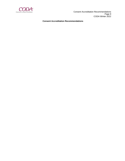

 Consent Accreditation Recommendations Page 9 CODA Winter 2022

#### **Consent Accreditation Recommendations**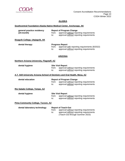

## **ALASKA**

## **Southcentral Foundation-Alaska Native Medical Center, Anchorage, AK**

| general practice residency |       | <b>Report of Program Change</b>         |
|----------------------------|-------|-----------------------------------------|
| (24-month)                 | from: | approval without reporting requirements |
|                            | to:   | approval without reporting requirements |

**Ilisagvik College, Utqiagvik, AK**

| dental therapy |     | <b>Progress Report</b>                                                                         |  |
|----------------|-----|------------------------------------------------------------------------------------------------|--|
|                | to: | from: approval with reporting requirements (8/2022)<br>approval without reporting requirements |  |

## **ARIZONA**

#### **Northern Arizona University, Flagstaff, AZ**

| dental hygiene                                                                     | <b>Site Visit Report</b> |                                         |
|------------------------------------------------------------------------------------|--------------------------|-----------------------------------------|
|                                                                                    | from:                    | approval without reporting requirements |
|                                                                                    | to:                      | approval without reporting requirements |
| <u>A.T. Still University Arizona School of Dentistry and Oral Health, Mesa, AZ</u> |                          |                                         |
| dental education                                                                   |                          | <b>Report of Program Change</b>         |
|                                                                                    | from:                    | approval without reporting requirements |
|                                                                                    | to:                      | approval without reporting requirements |
| Rio Salado College, Tempe, AZ                                                      |                          |                                         |
| dental hygiene                                                                     | <b>Site Visit Report</b> |                                         |
|                                                                                    | from:                    | approval without reporting requirements |
|                                                                                    | to:                      | approval without reporting requirements |
| <b>Pima Community College, Tucson, AZ</b>                                          |                          |                                         |
| dental laboratory technology                                                       |                          | <b>Report of Teach-Out</b>              |
|                                                                                    | from:                    | approval without reporting requirements |
|                                                                                    | to: to                   | approval without reporting requirements |
|                                                                                    |                          | (Teach-Out through Summer 2023)         |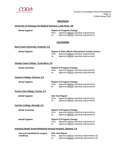

## **ARKANSAS**

## **University of Arkansas for Medical Sciences, Little Rock, AR**

| dental hygiene | <b>Report of Program Change</b> |                                                                                    |
|----------------|---------------------------------|------------------------------------------------------------------------------------|
|                | trom:<br>to:                    | approval without reporting requirements<br>approval without reporting requirements |

## **CALIFORNIA**

| West Coast University, Anaheim, CA                           |                         |                                                                                                                                                |
|--------------------------------------------------------------|-------------------------|------------------------------------------------------------------------------------------------------------------------------------------------|
| dental hygiene                                               | from:<br>to:            | <b>Report of Sites Where Educational Activity Occurs</b><br>approval without reporting requirements<br>approval without reporting requirements |
| Orange Coast College, Costa Mesa, CA                         |                         |                                                                                                                                                |
| dental assisting                                             | from:<br>to:            | <b>Report of Program Change</b><br>approval without reporting requirements<br>approval without reporting requirements                          |
| <b>Cypress College, Cypress, CA</b>                          |                         |                                                                                                                                                |
| dental hygiene                                               | from:<br>$\mathsf{to}:$ | <b>Report of Program Change</b><br>approval without reporting requirements<br>approval without reporting requirements                          |
| <b>Fresno City College, Fresno, CA</b>                       |                         |                                                                                                                                                |
| dental hygiene                                               | from:<br>to:            | <b>Site Visit Report</b><br>approval without reporting requirements<br>approval without reporting requirements                                 |
| <b>Cerritos College, Norwalk, CA</b>                         |                         |                                                                                                                                                |
| dental assisting                                             | from:<br>to:            | <b>Report of Program Change</b><br>approval without reporting requirements<br>approval without reporting requirements                          |
| dental hygiene                                               | from:<br>to:            | <b>Report of Program Change</b><br>approval without reporting requirements<br>approval without reporting requirements                          |
| Alameda Health System/Highland General Hospital, Oakland, CA |                         |                                                                                                                                                |
| oral and maxillofacial surgery<br>residency                  | from:<br>to:            | <b>Site Visit Report</b><br>approval without reporting requirements (3)<br>approval without reporting requirements (3)                         |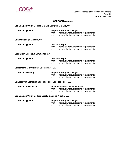

## **CALIFORNIA (cont.)**

| San Joaquin Valley College-Ontario Campus, Ontario, CA |
|--------------------------------------------------------|
|--------------------------------------------------------|

| dental hygiene                                            | from:<br>to:             | <b>Report of Program Change</b><br>approval without reporting requirements<br>approval without reporting requirements        |
|-----------------------------------------------------------|--------------------------|------------------------------------------------------------------------------------------------------------------------------|
| <b>Oxnard College, Oxnard, CA</b>                         |                          |                                                                                                                              |
| dental hygiene                                            | from:<br>$\mathsf{to}$ : | <b>Site Visit Report</b><br>approval without reporting requirements<br>approval without reporting requirements               |
| <b>Carrington College, Sacramento, CA</b>                 |                          |                                                                                                                              |
| dental hygiene                                            | from:<br>to:             | <b>Site Visit Report</b><br>approval without reporting requirements<br>approval without reporting requirements               |
| Sacramento City College, Sacramento, CA                   |                          |                                                                                                                              |
| dental assisting                                          | from:<br>to:             | <b>Report of Program Change</b><br>approval without reporting requirements<br>approval without reporting requirements        |
| University of California San Francisco, San Francisco, CA |                          |                                                                                                                              |
| dental public health                                      | from:<br>to:             | <b>Request for Enrollment Increase</b><br>approval without reporting requirements<br>approval without reporting requirements |
| San Joaquin Valley College-Visalia Campus, Visalia, CA    |                          |                                                                                                                              |
| dental hygiene                                            | from:<br>to:             | <b>Report of Program Change</b><br>approval without reporting requirements<br>approval without reporting requirements        |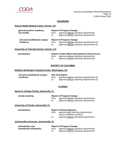

## **COLORADO**

#### **Denver Health Medical Center, Denver, CO**

| general practice residency<br>$(12$ -month) | from:<br>to: | <b>Report of Program Change</b><br>approval without reporting requirements<br>approval without reporting requirements         |
|---------------------------------------------|--------------|-------------------------------------------------------------------------------------------------------------------------------|
| oral and maxillofacial surgery<br>residency | from:<br>to: | <b>Report of Program Change</b><br>approval without reporting requirements (2)<br>approval without reporting requirements (2) |

#### **University of Colorado Denver, Denver, CO**

| periodontics |     | <b>Report of Sites Where Educational Activity Occurs</b> |
|--------------|-----|----------------------------------------------------------|
|              |     | from: approval without reporting requirements            |
|              | to: | approval without reporting requirements                  |

#### **DISTRICT OF COLUMBIA**

#### **MedStar Washington Hospital Center, Washington, DC**

| oral and maxillofacial surgery | <b>Site Visit Report</b> |                                             |
|--------------------------------|--------------------------|---------------------------------------------|
| residency                      | from:                    | approval without reporting requirements (3) |
|                                | to:                      | approval without reporting requirements (3) |

## **FLORIDA**

#### **Santa Fe College-Florida, Gainesville, FL**

| dental assisting | <b>Report of Program Change</b> |                                         |
|------------------|---------------------------------|-----------------------------------------|
|                  | from:                           | approval without reporting requirements |
|                  |                                 | approval without reporting requirements |
|                  |                                 |                                         |

#### **University of Florida, Gainesville, FL**

| periodontics                              | <b>Report of Noncompliance</b> |                                                                      |  |
|-------------------------------------------|--------------------------------|----------------------------------------------------------------------|--|
|                                           | from:                          | approval with reporting requirements;<br>intent to withdraw (2/2022) |  |
|                                           | to:                            | approval without reporting requirements                              |  |
| Jacksonville University, Jacksonville, FL |                                |                                                                      |  |

| orthodontics and        |     | <b>Report of Program Change</b>               |  |  |
|-------------------------|-----|-----------------------------------------------|--|--|
| dentofacial orthopedics |     | from: approval without reporting requirements |  |  |
|                         | to: | approval without reporting requirements       |  |  |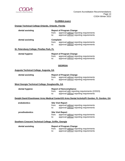

## **FLORIDA (cont.)**

## **Orange Technical College-Orlando, Orlando, Florida**

| dental assisting                                      |                  | <b>Report of Program Change</b>                                                               |  |
|-------------------------------------------------------|------------------|-----------------------------------------------------------------------------------------------|--|
|                                                       | from:            | approval without reporting requirements                                                       |  |
|                                                       | to:              | approval without reporting requirements                                                       |  |
| dental assisting                                      | <b>Complaint</b> |                                                                                               |  |
|                                                       | from:            | approval without reporting requirements                                                       |  |
|                                                       | to:              | approval without reporting requirements                                                       |  |
| St. Petersburg College, Pinellas Park, FL             |                  |                                                                                               |  |
| dental hygiene                                        |                  | <b>Report of Program Change</b>                                                               |  |
|                                                       | from:            | approval without reporting requirements                                                       |  |
|                                                       | to:              | approval without reporting requirements                                                       |  |
|                                                       |                  |                                                                                               |  |
|                                                       |                  | <b>GEORGIA</b>                                                                                |  |
| <b>Augusta Technical College, Augusta, GA</b>         |                  |                                                                                               |  |
| dental assisting                                      |                  | <b>Report of Program Change</b>                                                               |  |
|                                                       | from:            | approval without reporting requirements                                                       |  |
|                                                       | to:              | approval without reporting requirements                                                       |  |
|                                                       |                  |                                                                                               |  |
| West Georgia Technical College, Douglasville, GA      |                  |                                                                                               |  |
| dental hygiene                                        |                  | <b>Report of Noncompliance</b>                                                                |  |
|                                                       | from:            | approval with reporting requirements (2/2023)                                                 |  |
|                                                       | to:              | approval without reporting requirements                                                       |  |
|                                                       |                  | Dwight David Eisenhower Army Medical Center/US Army Dental Activity/Ft Gordon, Ft. Gordon, GA |  |
| endodontics                                           |                  | <b>Site Visit Report</b>                                                                      |  |
|                                                       | from:            | approval without reporting requirements                                                       |  |
|                                                       | to:              | approval without reporting requirements                                                       |  |
| prosthodontics                                        |                  | <b>Site Visit Report</b>                                                                      |  |
|                                                       | from:            | approval without reporting requirements                                                       |  |
|                                                       | to:              | approval without reporting requirements                                                       |  |
| Southern Crescent Technical College, Griffin, Georgia |                  |                                                                                               |  |
| dental assisting                                      |                  | <b>Report of Program Change</b>                                                               |  |
|                                                       | from:            | approval without reporting requirements                                                       |  |
|                                                       | to:              | approval without reporting requirements                                                       |  |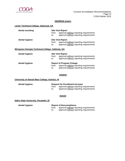

## **GEORGIA (cont.)**

#### **Lanier Technical College, Oakwood, GA**

| dental assisting                                  | from:<br>to: | <b>Site Visit Report</b><br>approval without reporting requirements<br>approval without reporting requirements |
|---------------------------------------------------|--------------|----------------------------------------------------------------------------------------------------------------|
| dental hygiene                                    | from:<br>to: | <b>Site Visit Report</b><br>approval without reporting requirements<br>approval without reporting requirements |
| Wiregrass Georgia Technical College, Valdosta, GA |              |                                                                                                                |
| dental hygiene                                    | from:<br>to: | <b>Site Visit Report</b><br>approval without reporting requirements<br>approval without reporting requirements |

| dental hygiene |              | <b>Report of Program Change</b>                                                    |
|----------------|--------------|------------------------------------------------------------------------------------|
|                | from:<br>to: | approval without reporting requirements<br>approval without reporting requirements |

#### **HAWAII**

## **University of Hawaii Maui College, Kahului, HI**

| dental hygiene | <b>Request for Enrollment Increase</b> |                                         |
|----------------|----------------------------------------|-----------------------------------------|
|                | trom:                                  | approval without reporting requirements |
|                | to:                                    | approval without reporting requirements |

#### **IDAHO**

#### **Idaho State University, Pocatello, ID**

| dental hygiene |       | <b>Report of Noncompliance</b>          |
|----------------|-------|-----------------------------------------|
|                | trom: | approval without reporting requirements |
|                | to:   | approval without reporting requirements |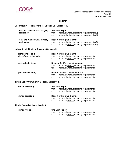

## **ILLINOIS**

#### **Cook County Hospital/John H. Stroger, Jr., Chicago, IL**

| oral and maxillofacial surgery | <b>Site Visit Report</b> |                                                                                            |
|--------------------------------|--------------------------|--------------------------------------------------------------------------------------------|
| residency                      | from:<br>to:             | approval without reporting requirements (2)<br>approval without reporting requirements (2) |
| oral and maxillofacial surgery |                          | <b>Report of Program Change</b>                                                            |
| residency                      | from:<br>to:             | approval without reporting requirements (2)<br>approval without reporting requirements (2) |

#### **University of Illinois at Chicago, Chicago, IL**

| orthodontics and<br>dentofacial orthopedics | <b>Report of Program Change</b><br>approval without reporting requirements<br>from:<br>approval without reporting requirements<br>to:        |
|---------------------------------------------|----------------------------------------------------------------------------------------------------------------------------------------------|
| pediatric dentistry                         | <b>Request for Enrollment Increase</b><br>approval without reporting requirements<br>from:<br>approval without reporting requirements<br>to: |
| pediatric dentistry                         | <b>Request for Enrollment Increase</b><br>approval without reporting requirements<br>from:<br>approval without reporting requirements<br>to: |

#### **Illinois Valley Community College, Oglesby, IL**

| dental assisting                     | from:<br>to: | <b>Site Visit Report</b><br>approval without reporting requirements<br>approval without reporting requirements        |
|--------------------------------------|--------------|-----------------------------------------------------------------------------------------------------------------------|
| dental assisting                     | from:<br>to: | <b>Report of Program Change</b><br>approval without reporting requirements<br>approval without reporting requirements |
| Illinois Central College, Peoria, IL |              |                                                                                                                       |
| dental hygiene                       |              | <b>Site Visit Report</b>                                                                                              |

from: approval without reporting requirements to: approval without reporting requirements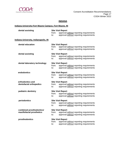

#### **INDIANA**

## **Indiana University-Fort Wayne Campus, Fort Wayne, IN**

| dental assisting<br><b>Site Visit Report</b>          |              |                                                                                                                |
|-------------------------------------------------------|--------------|----------------------------------------------------------------------------------------------------------------|
|                                                       | from:<br>to: | approval without reporting requirements<br>approval without reporting requirements                             |
| <b>Indiana University, Indianapolis, IN</b>           |              |                                                                                                                |
| dental education                                      | from:<br>to: | <b>Site Visit Report</b><br>approval without reporting requirements<br>approval without reporting requirements |
| dental assisting                                      | from:<br>to: | <b>Site Visit Report</b><br>approval without reporting requirements<br>approval without reporting requirements |
| dental laboratory technology                          | from:<br>to: | <b>Site Visit Report</b><br>approval without reporting requirements<br>approval without reporting requirements |
| endodontics                                           | from:<br>to: | <b>Site Visit Report</b><br>approval without reporting requirements<br>approval without reporting requirements |
| orthodontics and<br>dentofacial orthopedics           | from:<br>to: | <b>Site Visit Report</b><br>approval without reporting requirements<br>approval without reporting requirements |
| pediatric dentistry                                   | from:<br>to: | <b>Site Visit Report</b><br>approval without reporting requirements<br>approval without reporting requirements |
| periodontics                                          | from:<br>to: | <b>Site Visit Report</b><br>approval without reporting requirements<br>approval without reporting requirements |
| combined prosthodontics/<br>maxillofacial prosthetics | from:<br>to: | <b>Site Visit Report</b><br>approval without reporting requirements<br>approval without reporting requirements |
| prosthodontics                                        | from:<br>to: | <b>Site Visit Report</b><br>approval without reporting requirements<br>approval without reporting requirements |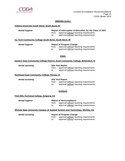

#### **INDIANA (cont.)**

#### **Indiana University South Bend, South Bend, IN**

| dental hygiene                                        | from:<br>to:             | Report of Interruption of Education for the Class of 2021<br>approval without reporting requirements<br>approval without reporting requirements |
|-------------------------------------------------------|--------------------------|-------------------------------------------------------------------------------------------------------------------------------------------------|
| Ivy Tech Community College-South Bend, South Bend, IN |                          |                                                                                                                                                 |
| dental hygiene                                        | from:<br>to:             | <b>Report of Program Change</b><br>approval without reporting requirements<br>approval without reporting requirements                           |
|                                                       |                          | <b>IOWA</b>                                                                                                                                     |
|                                                       |                          | Eastern Iowa Community College District, Scott Community College, Bettendorf, IA                                                                |
| dental assisting                                      | <b>Site Visit Report</b> |                                                                                                                                                 |

from: approval without reporting requirements to: approval without reporting requirements

#### **Northeast Iowa Community College, Peosta, IA**

**dental assisting Site Visit Report** from: approval without reporting requirements to: approval without reporting requirements

#### **KANSAS**

#### **Flint Hills Technical College, Emporia, KS**

| dental hygiene | <b>Report of Noncompliance</b> |                                                                                    |
|----------------|--------------------------------|------------------------------------------------------------------------------------|
|                | from:<br>to:                   | approval without reporting requirements<br>approval without reporting requirements |

## **Wichita State University Campus of Applied Science and Technology, Wichita, KS**

## **dental assisting Report of Program Change**

from: approval without reporting requirements

to: approval without reporting requirements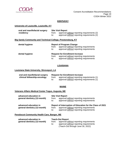

## **KENTUCKY**

#### **University of Louisville, Louisville, KY**

| oral and maxillofacial surgery |       | <b>Site Visit Report</b>                    |  |
|--------------------------------|-------|---------------------------------------------|--|
| residency                      | trom: | approval without reporting requirements (2) |  |
|                                | to:   | approval without reporting requirements (2) |  |

#### **Big Sandy Community and Technical College, Prestonsburg, KY**

| dental hygiene | from:<br>to: | <b>Report of Program Change</b><br>approval without reporting requirements<br>approval without reporting requirements        |
|----------------|--------------|------------------------------------------------------------------------------------------------------------------------------|
| dental hygiene | from:<br>to: | <b>Request for Enrollment Increase</b><br>approval without reporting requirements<br>approval without reporting requirements |

#### **LOUISIANA**

#### **Louisiana State University, Shreveport, LA**

| oral and maxillofacial surgery | <b>Request for Enrollment Increase</b> |                                             |
|--------------------------------|----------------------------------------|---------------------------------------------|
| clinical fellowship-oncology   | from:                                  | approval without reporting requirements (1) |
|                                | to:                                    | approval without reporting requirements (1) |

## **MAINE**

#### **Veterans Affairs Medical Center Togus, Augusta, ME**

| advanced education in<br>general dentistry (12-month) | from:<br>to: | <b>Site Visit Report</b><br>approval without reporting requirements<br>approval without reporting requirements                                  |
|-------------------------------------------------------|--------------|-------------------------------------------------------------------------------------------------------------------------------------------------|
| advanced education in<br>general dentistry (12-month) | from:<br>to: | Report of Interruption of Education for the Class of 2021<br>approval without reporting requirements<br>approval without reporting requirements |

#### **Penobscot Community Health Care, Bangor, ME**

| advanced education in        | <b>Teach-Out Report</b> |                                         |
|------------------------------|-------------------------|-----------------------------------------|
| general dentistry (12-month) | trom:                   | approval without reporting requirements |
|                              | to:                     | approval without reporting requirements |
|                              |                         | (Teach-Out through June 30, 2022)       |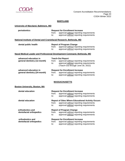

#### **MARYLAND**

## **University of Maryland, Baltimore, MD**

| periodontics                                                            | from:<br>to:    | <b>Request for Enrollment Increase</b><br>approval without reporting requirements<br>approval without reporting requirements                       |
|-------------------------------------------------------------------------|-----------------|----------------------------------------------------------------------------------------------------------------------------------------------------|
| National Institute of Dental and Craniofacial Research, Bethesda, MD    |                 |                                                                                                                                                    |
| dental public health                                                    | from:<br>to:    | <b>Report of Program Change</b><br>approval without reporting requirements<br>approval without reporting requirements                              |
| Naval Medical Leader and Professional Development Command, Bethesda, MD |                 |                                                                                                                                                    |
| advanced education in<br>general dentistry (12-month)                   | from:<br>to: to | <b>Teach-Out Report</b><br>approval without reporting requirements<br>approval without reporting requirements<br>(Teach-Out through June 30, 2022) |
| advanced education in<br>general dentistry (24-month)                   | from:<br>to:    | <b>Request for Enrollment Increase</b><br>approval without reporting requirements<br>approval without reporting requirements                       |
|                                                                         |                 | <b>MASSACHUSETTS</b>                                                                                                                               |
| <b>Boston University, Boston, MA</b>                                    |                 |                                                                                                                                                    |
| dental education                                                        | from:<br>to:    | <b>Request for Enrollment Increase</b><br>approval without reporting requirements<br>approval without reporting requirements                       |
| dental education                                                        | from:<br>to:    | <b>Report of Sites Where Educational Activity Occurs</b><br>approval without reporting requirements<br>approval without reporting requirements     |
| orthodontics and<br>dentofacial orthopedics                             | from:<br>to:    | <b>Report of Program Change</b><br>approval without reporting requirements<br>approval without reporting requirements                              |
| orthodontics and<br>dentofacial orthopedics                             | from:<br>to:    | <b>Request for Enrollment Increase</b><br>approval without reporting requirements<br>approval without reporting requirements                       |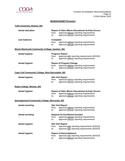

#### **MASSACHUSETTS (cont.)**

| <b>Tufts University, Boston, MA</b>                    |                                  |                                                                                                                                                |
|--------------------------------------------------------|----------------------------------|------------------------------------------------------------------------------------------------------------------------------------------------|
| dental education                                       | from:<br>to:                     | <b>Report of Sites Where Educational Activity Occurs</b><br>approval without reporting requirements<br>approval without reporting requirements |
| oral medicine                                          | <b>Complaint</b><br>from:<br>to: | approval without reporting requirements<br>approval without reporting requirements                                                             |
| Mount Wachusett Community College, Gardner, MA         |                                  |                                                                                                                                                |
| dental hygiene                                         | from:<br>to:                     | <b>Progress Report</b><br>approval with reporting requirements (8/2023)<br>approval without reporting requirements                             |
| dental hygiene                                         | from:<br>to:                     | <b>Report of Program Change</b><br>approval without reporting requirements<br>approval without reporting requirements                          |
| <b>Cape Cod Community College, West Barnstable, MA</b> |                                  |                                                                                                                                                |
| dental hygiene                                         | from:<br>to:                     | <b>Site Visit Report</b><br>approval without reporting requirements<br>approval without reporting requirements                                 |
| Regis College, Weston, MA                              |                                  |                                                                                                                                                |
| dental hygiene                                         | from:<br>to:                     | <b>Report of Sites Where Educational Activity Occurs</b><br>approval without reporting requirements<br>approval without reporting requirements |
| <b>Quinsigamond Community College, Worcester, MA</b>   |                                  |                                                                                                                                                |
| dental assisting                                       | from:<br>to:                     | <b>Site Visit Report</b><br>approval without reporting requirements<br>approval without reporting requirements                                 |
| dental assisting                                       | from:<br>to:                     | <b>Request for Enrollment Increase</b><br>approval without reporting requirements<br>approval without reporting requirements                   |
| dental hygiene                                         | from:<br>to:                     | <b>Site Visit Report</b><br>approval with reporting requirements (8/2023)<br>approval with reporting requirements (8/2023)                     |
| dental hygiene                                         | from:<br>to:                     | <b>Report of Noncompliance</b><br>approval with reporting requirements (8/2023)<br>approval without reporting requirements                     |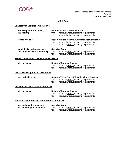

## **MICHIGAN**

## **University of Michigan, Ann Arbor, MI**

| general practice residency<br>$(12$ -month)                            | from:<br>to:                                                                 | <b>Request for Enrollment Increase</b><br>approval without reporting requirements<br>approval without reporting requirements                   |  |
|------------------------------------------------------------------------|------------------------------------------------------------------------------|------------------------------------------------------------------------------------------------------------------------------------------------|--|
| dental hygiene                                                         | from:<br>to:                                                                 | <b>Report of Sites Where Educational Activity Occurs</b><br>approval without reporting requirements<br>approval without reporting requirements |  |
| craniofacial and special care<br>orthodontics clinical fellowship      | from:<br>to:                                                                 | <b>Site Visit Report</b><br>approval without reporting requirements<br>approval without reporting requirements                                 |  |
| <b>Kellogg Community College, Battle Creek, MI</b>                     |                                                                              |                                                                                                                                                |  |
| dental hygiene                                                         | from:<br>to:                                                                 | <b>Report of Program Change</b><br>approval without reporting requirements<br>approval without reporting requirements                          |  |
| <b>Detroit Receiving Hospital, Detroit, MI</b>                         |                                                                              |                                                                                                                                                |  |
| pediatric dentistry                                                    | from:<br>to:                                                                 | <b>Report of Sites Where Educational Activity Occurs</b><br>approval without reporting requirements<br>approval without reporting requirements |  |
| University of Detroit Mercy, Detroit, MI                               |                                                                              |                                                                                                                                                |  |
| dental hygiene                                                         | from:<br>to:                                                                 | <b>Report of Program Change</b><br>approval without reporting requirements<br>approval without reporting requirements                          |  |
| Veterans Affairs Medical Center-Detroit, Detroit, MI                   |                                                                              |                                                                                                                                                |  |
| general practice residency<br>(12-month/optional 2 <sup>nd</sup> year) | <b>Site Visit Report</b><br>approval without reporting requirements<br>from: |                                                                                                                                                |  |

to: approval without reporting requirements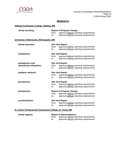

## **MINNESOTA**

## **Hibbing Community College, Hibbing, MN**

| dental assisting                                         | from:<br>$\mathsf{to}:$  | <b>Report of Program Change</b><br>approval without reporting requirements<br>approval without reporting requirements |
|----------------------------------------------------------|--------------------------|-----------------------------------------------------------------------------------------------------------------------|
| University of Minnesota, Minneapolis, MN                 |                          |                                                                                                                       |
| dental education                                         |                          | <b>Site Visit Report</b>                                                                                              |
|                                                          | from:<br>$\mathsf{to}$ : | approval without reporting requirements<br>approval without reporting requirements                                    |
| endodontics                                              |                          | <b>Site Visit Report</b>                                                                                              |
|                                                          | from:<br>$\mathsf{to}$ : | approval without reporting requirements<br>approval without reporting requirements                                    |
| orthodontics and                                         |                          | <b>Site Visit Report</b>                                                                                              |
| dentofacial orthopedics                                  | from:<br>$\mathsf{to}$ : | approval without reporting requirements<br>approval without reporting requirements                                    |
| pediatric dentistry                                      |                          | <b>Site Visit Report</b>                                                                                              |
|                                                          | from:<br>to:             | approval without reporting requirements<br>approval without reporting requirements                                    |
| periodontics                                             | <b>Site Visit Report</b> |                                                                                                                       |
|                                                          | from:                    | approval without reporting requirements                                                                               |
|                                                          | $\mathsf{to}$ :          | approval without reporting requirements                                                                               |
| periodontics                                             |                          | <b>Report of Program Change</b>                                                                                       |
|                                                          | from:                    | approval without reporting requirements                                                                               |
|                                                          | to:                      | approval without reporting requirements                                                                               |
| prosthodontics                                           |                          | <b>Site Visit Report</b>                                                                                              |
|                                                          | from:                    | approval without reporting requirements                                                                               |
|                                                          | to:                      | approval without reporting requirements                                                                               |
| St. Cloud Technical and Community College, St. Cloud, MN |                          |                                                                                                                       |
| dental hygiene                                           |                          | <b>Report of Noncompliance</b>                                                                                        |

|       | Report of Noncompliance                 |
|-------|-----------------------------------------|
| from: | approval without reporting requirements |
| to:   | approval without reporting requirements |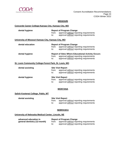

#### **MISSOURI**

## **Concorde Career College-Kansas City, Kansas City, MO**

| dental hygiene                                         | <b>Report of Program Change</b> |                                                                                                                                                |  |
|--------------------------------------------------------|---------------------------------|------------------------------------------------------------------------------------------------------------------------------------------------|--|
|                                                        | from:                           | approval without reporting requirements                                                                                                        |  |
|                                                        | to:                             | approval without reporting requirements                                                                                                        |  |
| University of Missouri Kansas City, Kansas City, MO    |                                 |                                                                                                                                                |  |
| dental education                                       |                                 | <b>Report of Program Change</b>                                                                                                                |  |
|                                                        | from:                           | approval without reporting requirements                                                                                                        |  |
|                                                        | to:                             | approval without reporting requirements                                                                                                        |  |
| dental hygiene                                         | from:<br>to:                    | <b>Report of Sites Where Educational Activity Occurs</b><br>approval without reporting requirements<br>approval without reporting requirements |  |
| St. Louis Community College-Forest Park, St. Louis, MO |                                 |                                                                                                                                                |  |
| dental assisting                                       |                                 | <b>Site Visit Report</b>                                                                                                                       |  |
|                                                        | from:                           | approval without reporting requirements                                                                                                        |  |
|                                                        | to:                             | approval without reporting requirements                                                                                                        |  |
| dental hygiene                                         |                                 | <b>Site Visit Report</b>                                                                                                                       |  |
|                                                        | from:                           | approval without reporting requirements                                                                                                        |  |
|                                                        | to:                             | approval without reporting requirements                                                                                                        |  |
|                                                        |                                 |                                                                                                                                                |  |

## **MONTANA**

#### **Salish Kootenai College, Pablo, MT**

| dental assisting | <b>Site Visit Report</b> |                                         |
|------------------|--------------------------|-----------------------------------------|
|                  | from:                    | approval without reporting requirements |
|                  | to:                      | approval without reporting requirements |

#### **NEBRASKA**

#### **University of Nebraska Medical Center, Lincoln, NE**

| advanced education in        |     | <b>Report of Program Change</b>               |  |
|------------------------------|-----|-----------------------------------------------|--|
| general dentistry (12-month) |     | from: approval without reporting requirements |  |
|                              | to: | approval without reporting requirements       |  |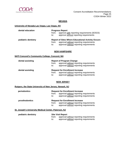

#### **NEVADA**

#### **University of Nevada Las Vegas, Las Vegas, NV**

| dental education    | from:<br>to: | <b>Progress Report</b><br>approve with reporting requirements (8/2023)<br>approve without reporting requirements                               |
|---------------------|--------------|------------------------------------------------------------------------------------------------------------------------------------------------|
| pediatric dentistry | from:<br>to: | <b>Report of Sites Where Educational Activity Occurs</b><br>approval without reporting requirements<br>approval without reporting requirements |

#### **NEW HAMPSHIRE**

#### **NHTI Concord's Community College, Concord, NH**

| dental assisting | from:<br>to: | <b>Report of Program Change</b><br>approval without reporting requirements<br>approval without reporting requirements        |
|------------------|--------------|------------------------------------------------------------------------------------------------------------------------------|
| dental assisting | from:<br>to: | <b>Request for Enrollment Increase</b><br>approval without reporting requirements<br>approval without reporting requirements |

#### **NEW JERSEY**

#### **Rutgers, the State University of New Jersey, Newark, NJ**

| periodontics   | <b>Request for Enrollment Increase</b><br>approval without reporting requirements<br>from:<br>approval without reporting requirements<br>to: |
|----------------|----------------------------------------------------------------------------------------------------------------------------------------------|
| prosthodontics | <b>Request for Enrollment Increase</b><br>approval without reporting requirements<br>from:<br>approval without reporting requirements<br>to: |

## **St. Joseph's University Medical Center, Paterson, NJ**

| pediatric dentistry |              | <b>Site Visit Report</b>                                                           |
|---------------------|--------------|------------------------------------------------------------------------------------|
|                     | trom:<br>to: | approval without reporting requirements<br>approval without reporting requirements |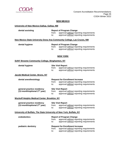

**dental hygiene** 

### **NEW MEXICO**

#### **University of New Mexico-Gallup, Gallup, NM**

| dental assisting |              | <b>Report of Program Change</b>                                                             |  |
|------------------|--------------|---------------------------------------------------------------------------------------------|--|
|                  | from:<br>to: | approval without reporting requirements<br>approval without reporting requirements          |  |
|                  |              | القالح وجوديته وجرار ومنافره الملامسين ومستحق والمستنقر والمستحل المتعارف والمنافس والمنافس |  |

**New Mexico State University Dona Ana Community College, Las Cruces, NM**

| <b>Report of Program Change</b> |                                         |  |  |
|---------------------------------|-----------------------------------------|--|--|
| from:                           | approval without reporting requirements |  |  |
| to:                             | approval without reporting requirements |  |  |

#### **NEW YORK**

#### **SUNY Broome Community College, Binghamton, NY**

| dental hygiene |              | <b>Site Visit Report</b>                                                           |  |
|----------------|--------------|------------------------------------------------------------------------------------|--|
|                | from:<br>to: | approval without reporting requirements<br>approval without reporting requirements |  |

## **Jacobi Medical Center, Bronx, NY**

| dental anesthesiology                    | <b>Request for Enrollment Increase</b> |                                         |
|------------------------------------------|----------------------------------------|-----------------------------------------|
|                                          | from:                                  | approval without reporting requirements |
|                                          | to:                                    | approval without reporting requirements |
|                                          |                                        |                                         |
| general practice residency               |                                        | <b>Site Visit Report</b>                |
| (12-month/optional 2 <sup>nd</sup> year) | from:                                  | approval without reporting requirements |
|                                          | to:                                    | approval without reporting requirements |

#### **Wyckoff Heights Medical Center, Brooklyn, NY**

| general practice residency        |       | <b>Site Visit Report</b>                |
|-----------------------------------|-------|-----------------------------------------|
| $(12$ -month/optional $2nd$ year) | trom: | approval without reporting requirements |
|                                   | to:   | approval without reporting requirements |

#### **University of Buffalo, The State University of New York, Buffalo, NY**

| endodontics         | from:<br>to: | <b>Report of Program Change</b><br>approval without reporting requirements<br>approval without reporting requirements        |
|---------------------|--------------|------------------------------------------------------------------------------------------------------------------------------|
| pediatric dentistry | from:<br>to: | <b>Request for Enrollment Increase</b><br>approval without reporting requirements<br>approval without reporting requirements |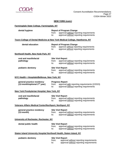

## **NEW YORK (cont.)**

## **Farmingdale State College, Farmingdale, NY**

| dental hygiene                                                                     | <b>Report of Program Change</b> |                                               |  |
|------------------------------------------------------------------------------------|---------------------------------|-----------------------------------------------|--|
|                                                                                    | from:                           | approval without reporting requirements       |  |
|                                                                                    | to:                             | approval without reporting requirements       |  |
| <u>Touro College of Dental Medicine at New York Medical College, Hawthorne, NY</u> |                                 |                                               |  |
| dental education                                                                   |                                 | <b>Report of Program Change</b>               |  |
|                                                                                    | from:                           | approve without reporting requirements        |  |
|                                                                                    | to:                             | approve without reporting requirements        |  |
| <b>Northwell Health, New Hyde Park, NY</b>                                         |                                 |                                               |  |
| oral and maxillofacial                                                             |                                 | <b>Site Visit Report</b>                      |  |
| pathology                                                                          | from:                           | approval without reporting requirements       |  |
|                                                                                    | to:                             | approval without reporting requirements       |  |
| pediatric dentistry                                                                |                                 | <b>Site Visit Report</b>                      |  |
|                                                                                    | from:                           | approval without reporting requirements       |  |
|                                                                                    | to:                             | approval without reporting requirements       |  |
| NYC Health + Hospitals/Bellevue, New York, NY                                      |                                 |                                               |  |
| general practice residency                                                         |                                 | <b>Progress Report</b>                        |  |
| (12-month/optional 2 <sup>nd</sup> year)                                           | from:                           | approval with reporting requirements (2/2023) |  |
|                                                                                    | to:                             | approval without reporting requirements       |  |
| <b>New York Presbyterian Hospital, New York, NY</b>                                |                                 |                                               |  |
| oral and maxillofacial                                                             |                                 | <b>Site Visit Report</b>                      |  |
| pathology                                                                          | from:                           | approval without reporting requirements       |  |
|                                                                                    | to:                             | approval without reporting requirements       |  |
| Veterans Affairs Medical Center/Northport, Northport, NY                           |                                 |                                               |  |
| general practice residency                                                         |                                 | <b>Site Visit Report</b>                      |  |
| $(12$ -month)                                                                      | from:                           | approval without reporting requirements       |  |
|                                                                                    | to:                             | approval without reporting requirements       |  |
| University of Rochester, Rochester, NY                                             |                                 |                                               |  |
| dental public health                                                               |                                 | <b>Site Visit Report</b>                      |  |
|                                                                                    | from:                           | approval without reporting requirements       |  |
|                                                                                    | to:                             | approval without reporting requirements       |  |
| Staten Island University Hospital Northwell Health, Staten Island, NY              |                                 |                                               |  |
| pediatric dentistry                                                                |                                 | <b>Site Visit Report</b>                      |  |
|                                                                                    | from:                           | approval without reporting requirements       |  |
|                                                                                    | to:                             | approval without reporting requirements       |  |
|                                                                                    |                                 |                                               |  |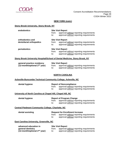

#### **NEW YORK (cont.)**

#### **Stony Brook University, Stony Brook, NY**

| endodontics                                 | <b>Site Visit Report</b><br>from:<br>to: | approval without reporting requirements<br>approval without reporting requirements |
|---------------------------------------------|------------------------------------------|------------------------------------------------------------------------------------|
| orthodontics and<br>dentofacial orthopedics | <b>Site Visit Report</b><br>from:<br>to: | approval without reporting requirements<br>approval without reporting requirements |
| periodontics                                | <b>Site Visit Report</b><br>from:<br>to: | approval without reporting requirements<br>approval without reporting requirements |

#### **Stony Brook University Hospital/School of Dental Medicine, Stony Brook, NY**

| general practice residency        |       | <b>Site Visit Report</b>                |
|-----------------------------------|-------|-----------------------------------------|
| $(12$ -month/optional $2nd$ year) | trom: | approval without reporting requirements |
|                                   | to:   | approval without reporting requirements |

#### **NORTH CAROLINA**

#### **Asheville-Buncombe Technical Community College, Asheville, NC**

| dental hygiene | <b>Report of Noncompliance</b> |                                                                                    |
|----------------|--------------------------------|------------------------------------------------------------------------------------|
|                | from:<br>to:                   | approval without reporting requirements<br>approval without reporting requirements |

### **University of North Carolina at Chapel Hill, Chapel Hill, NC**

| dental hygiene |       | <b>Report of Program Change</b>         |
|----------------|-------|-----------------------------------------|
|                | from: | approval without reporting requirements |
|                | to:   | approval without reporting requirements |

#### **Central Piedmont Community College, Charlotte, NC**

| dental assisting                                | <b>Request for Enrollment Increase</b> |                                                                                    |
|-------------------------------------------------|----------------------------------------|------------------------------------------------------------------------------------|
|                                                 | from:<br>to:                           | approval without reporting requirements<br>approval without reporting requirements |
| <b>East Carolina University, Greenville, NC</b> |                                        |                                                                                    |

| advanced education in             |       | <b>Site Visit Report</b>                |
|-----------------------------------|-------|-----------------------------------------|
| general dentistry                 | trom: | approval without reporting requirements |
| (12-month/optional $2^{nd}$ year) | to:   | approval without reporting requirements |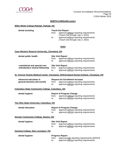

## **NORTH CAROLINA (cont.)**

## **Miller-Motte College-Raleigh, Raleigh, NC**

| dental assisting                                                  | from:<br>to: | <b>Teach-Out Report</b><br>approval without reporting requirements<br>(Teach-Out through July 3, 2022)<br>approval without reporting requirements<br>(Teach-Out through July 3, 2022) |
|-------------------------------------------------------------------|--------------|---------------------------------------------------------------------------------------------------------------------------------------------------------------------------------------|
|                                                                   |              | <b>OHIO</b>                                                                                                                                                                           |
| <b>Case Western Reserve University, Cleveland, OH</b>             |              |                                                                                                                                                                                       |
| dental public health                                              | from:<br>to: | <b>Site Visit Report</b><br>approval without reporting requirements<br>approval without reporting requirements                                                                        |
| craniofacial and special care<br>orthodontics clinical fellowship | from:<br>to: | <b>Site Visit Report</b><br>approval without reporting requirements<br>approval without reporting requirements                                                                        |
|                                                                   |              | St. Vincent Charity Medical Center, Cleveland, OH/Cleveland Dental Institute, Cleveland, OH                                                                                           |
| advanced education in<br>general dentistry (24-month)             | from:<br>to: | <b>Request for Enrollment Increase</b><br>approval without reporting requirements<br>approval without reporting requirements                                                          |
| <b>Columbus State Community College, Columbus, OH</b>             |              |                                                                                                                                                                                       |
| dental hygiene                                                    | from:<br>to: | <b>Report of Program Change</b><br>approval without reporting requirements<br>approval without reporting requirements                                                                 |
| The Ohio State University, Columbus, OH                           |              |                                                                                                                                                                                       |
| dental education                                                  | from:<br>to: | <b>Report of Program Change</b><br>approval without reporting requirements<br>approval without reporting requirements                                                                 |
| <b>Sinclair Community College, Dayton, OH</b>                     |              |                                                                                                                                                                                       |
| dental hygiene                                                    | from:<br>to: | <b>Site Visit Report</b><br>approval without reporting requirements<br>approval without reporting requirements                                                                        |
| <b>Hocking College, New Lexington, OH</b>                         |              |                                                                                                                                                                                       |
| dental hygiene                                                    | from:<br>to: | <b>Progress Report</b><br>approval with reporting requirements (8/2023)<br>approval without reporting requirements                                                                    |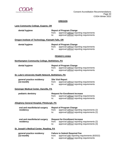

## **OREGON**

## **Lane Community College, Eugene, OR**

| dental hygiene                                      | from:<br>to: | <b>Report of Program Change</b><br>approval without reporting requirements<br>approval without reporting requirements                |
|-----------------------------------------------------|--------------|--------------------------------------------------------------------------------------------------------------------------------------|
| Oregon Institute of Technology, Klamath Falls, OR   |              |                                                                                                                                      |
| dental hygiene                                      | from:<br>to: | <b>Report of Program Change</b><br>approval without reporting requirements<br>approval without reporting requirements                |
|                                                     |              | <b>PENNSYLVANIA</b>                                                                                                                  |
| <b>Northampton Community College, Bethlehem, PA</b> |              |                                                                                                                                      |
| dental hygiene                                      | from:<br>to: | <b>Report of Program Change</b><br>approval without reporting requirements<br>approval without reporting requirements                |
| St. Luke's University Health Network, Bethlehem, PA |              |                                                                                                                                      |
| general practice residency<br>$(12$ -month)         | from:<br>to: | <b>Site Visit Report</b><br>approval without reporting requirements<br>approval without reporting requirements                       |
| <b>Geisinger Medical Center, Danville, PA</b>       |              |                                                                                                                                      |
| pediatric dentistry                                 | from:<br>to: | <b>Request for Enrollment Increase</b><br>approval without reporting requirements<br>approval without reporting requirements         |
| Allegheny General Hospital, Pittsburgh, PA          |              |                                                                                                                                      |
| oral and maxillofacial surgery<br>residency         | from:<br>to: | <b>Report of Program Change</b><br>approval without reporting requirements (2)<br>approval without reporting requirements (2)        |
| oral and maxillofacial surgery<br>residency         | from:<br>to: | <b>Request for Enrollment Increase</b><br>approval without reporting requirements (2)<br>approval without reporting requirements (3) |
| St. Joseph's Medical Center, Reading, PA            |              |                                                                                                                                      |
| general practice residency<br>$(12$ -month)         | from:<br>to: | <b>Failure to Submit Required Fee</b><br>approval with reporting requirements (8/2022)<br>approval without reporting requirements    |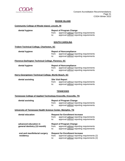

#### **RHODE ISLAND**

#### **Community College of Rhode Island, Lincoln, RI**

#### **Report of Program Change**

from: approval <u>without</u> reporting requirements<br>to: approval without reporting requirements

approval without reporting requirements

#### **SOUTH CAROLINA**

#### **Trident Technical College, Charleston, SC**

| dental hygiene |       | <b>Report of Noncompliance</b>          |
|----------------|-------|-----------------------------------------|
|                | from: | approval without reporting requirements |
|                | to:   | approval without reporting requirements |

#### **Florence-Darlington Technical College, Florence, SC**

| dental hygiene |              | <b>Report of Noncompliance</b>                                                     |
|----------------|--------------|------------------------------------------------------------------------------------|
|                | trom:<br>to: | approval without reporting requirements<br>approval without reporting requirements |
|                |              |                                                                                    |

## **Horry-Georgetown Technical College, Myrtle Beach, SC**

|  | dental assisting |
|--|------------------|
|--|------------------|

**Site Visit Report** from: approval without reporting requirements

to: approval without reporting requirements

#### **TENNESSEE**

#### **Tennessee College of Applied Technology-Knoxville, Knoxville, TN**

| dental assisting | <b>Report of Program Change</b> |                                         |
|------------------|---------------------------------|-----------------------------------------|
|                  | from:                           | approval without reporting requirements |
|                  | to:                             | approval without reporting requirements |

#### **University of Tennessee Health Science Center, Memphis, TN**

| dental education                                      | from:<br>to: | <b>Request for Enrollment Increase</b><br>approval without reporting requirements<br>approval without reporting requirements         |
|-------------------------------------------------------|--------------|--------------------------------------------------------------------------------------------------------------------------------------|
| advanced education in<br>general dentistry (12-month) | from:<br>to: | <b>Report of Program Change</b><br>approval without reporting requirements<br>approval without reporting requirements                |
| oral and maxillofacial surgery<br>residency           | from:<br>to: | <b>Request for Enrollment Increase</b><br>approval without reporting requirements (2)<br>approval without reporting requirements (2) |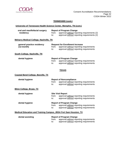

## **TENNESSEE (cont.)**

## **University of Tennessee Health Science Center, Memphis, TN (cont.)**

| oral and maxillofacial surgery<br>residency                             | from:                                  | <b>Report of Program Change</b><br>approval without reporting requirements (2)                                        |
|-------------------------------------------------------------------------|----------------------------------------|-----------------------------------------------------------------------------------------------------------------------|
|                                                                         | $\mathsf{to}:$                         | approval without reporting requirements (2)                                                                           |
| <b>Meharry Medical College, Nashville, TN</b>                           |                                        |                                                                                                                       |
| general practice residency                                              | <b>Request for Enrollment Increase</b> |                                                                                                                       |
| $(12$ -month)                                                           | from:<br>to:                           | approval without reporting requirements<br>approval without reporting requirements                                    |
| South College, Nashville, TN                                            |                                        |                                                                                                                       |
| dental hygiene                                                          | from:<br>$\mathsf{to}$ :               | <b>Report of Program Change</b><br>approval without reporting requirements<br>approval without reporting requirements |
|                                                                         |                                        | <b>TEXAS</b>                                                                                                          |
| <b>Coastal Bend College, Beeville, TX</b>                               |                                        |                                                                                                                       |
| dental hygiene                                                          | from:<br>to:                           | <b>Report of Noncompliance</b><br>approval without reporting requirements<br>approval without reporting requirements  |
| <b>Blinn College, Bryan, TX</b>                                         |                                        |                                                                                                                       |
| dental hygiene                                                          | from:<br>to:                           | <b>Site Visit Report</b><br>approval without reporting requirements<br>approval without reporting requirements        |
| dental hygiene                                                          | from:<br>to:                           | <b>Report of Program Change</b><br>approval without reporting requirements<br>approval without reporting requirements |
| <b>Medical Education and Training Campus, JBSA Fort Sam Houston, TX</b> |                                        |                                                                                                                       |
| dental assisting                                                        | from:                                  | <b>Report of Program Change</b><br>approval without reporting requirements                                            |

to: approval without reporting requirements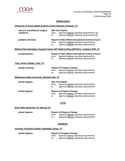

## **TEXAS (cont.)**

## **University of Texas Health Science Center-Houston, Houston, TX**

| oral and maxillofacial surgery<br>residency    | from:<br>to: | <b>Site Visit Report</b><br>approval without reporting requirements (6)<br>approval without reporting requirements (6)                         |
|------------------------------------------------|--------------|------------------------------------------------------------------------------------------------------------------------------------------------|
| pediatric dentistry                            | from:<br>to: | <b>Report of Sites Where Educational Activity Occurs</b><br>approval without reporting requirements<br>approval without reporting requirements |
|                                                |              | Wilford Hall Ambulatory Surgical Center-59 <sup>th</sup> Medical Wing (WHASC), Lackland AFB, TX                                                |
| prosthodontics                                 | from:<br>to: | <b>Report of Sites Where Educational Activity Occurs</b><br>approval without reporting requirements<br>approval without reporting requirements |
| <b>Tyler Junior College, Tyler, TX</b>         |              |                                                                                                                                                |
| dental assisting                               | from:<br>to: | <b>Report of Program Change</b><br>approval without reporting requirements<br>approval without reporting requirements                          |
| Midwestern State University, Wichita Falls, TX |              |                                                                                                                                                |
| dental hygiene                                 | from:<br>to: | <b>Site Visit Report</b><br>approval without reporting requirements<br>approval without reporting requirements                                 |
| dental hygiene                                 | from:<br>to: | <b>Report of Program Change</b><br>approval without reporting requirements<br>approval without reporting requirements                          |
|                                                |              | <b>UTAH</b>                                                                                                                                    |
| Dixie State University, St. George, UT         |              |                                                                                                                                                |
| dental hygiene                                 | from:<br>to: | <b>Report of Program Change</b><br>approval without reporting requirements<br>approval without reporting requirements<br><b>VERMONT</b>        |

#### **Vermont Technical College, Randolph Center, VT**

## **dental hygiene Report of Program Change**  from: approval without reporting requirements

to: approval without reporting requirements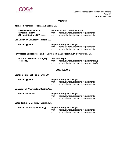

## **VIRGINIA**

## **Johnston Memorial Hospital, Abingdon, VA**

| advanced education in<br>general dentistry<br>(12-month/optional 2 <sup>nd</sup> year) | from:<br>to: | <b>Request for Enrollment Increase</b><br>approval without reporting requirements<br>approval without reporting requirements |
|----------------------------------------------------------------------------------------|--------------|------------------------------------------------------------------------------------------------------------------------------|
| Old Dominion University, Norfolk, VA                                                   |              |                                                                                                                              |
| dental hygiene                                                                         | from:<br>to: | <b>Report of Program Change</b><br>approval without reporting requirements<br>approval without reporting requirements        |
| <b>Navy Medicine Readiness and Training Command Portsmouth, Portsmouth, VA</b>         |              |                                                                                                                              |
| oral and maxillofacial surgery<br>residency                                            | from:<br>to: | <b>Site Visit Report</b><br>approval without reporting requirements (2)<br>approval without reporting requirements (2)       |
|                                                                                        |              | <b>WASHINGTON</b>                                                                                                            |
| Seattle Central College, Seattle, WA                                                   |              |                                                                                                                              |
| dental hygiene                                                                         | from:<br>to: | <b>Report of Program Change</b><br>approval without reporting requirements<br>approval without reporting requirements        |
| University of Washington, Seattle, WA                                                  |              |                                                                                                                              |
| dental education                                                                       | from:<br>to: | <b>Report of Program Change</b><br>approval without reporting requirements<br>approval without reporting requirements        |
| <b>Bates Technical College, Tacoma, WA</b>                                             |              |                                                                                                                              |
| dental laboratory technology                                                           |              | <b>Report of Program Change</b><br>from approval without reporting requirements                                              |

from: approval without reporting requirements to: approval without reporting requirements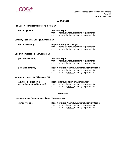

## **WISCONSIN**

#### **Fox Valley Technical College, Appleton, WI**

| dental hygiene                                        | from:<br>to: | <b>Site Visit Report</b><br>approval without reporting requirements<br>approval without reporting requirements                                 |
|-------------------------------------------------------|--------------|------------------------------------------------------------------------------------------------------------------------------------------------|
| Gateway Technical College, Kenosha, WI                |              |                                                                                                                                                |
| dental assisting                                      | from:<br>to: | <b>Report of Program Change</b><br>approval without reporting requirements<br>approval without reporting requirements                          |
| Children's Wisconsin, Milwaukee, WI                   |              |                                                                                                                                                |
| pediatric dentistry                                   | from:<br>to: | <b>Site Visit Report</b><br>approval without reporting requirements<br>approval without reporting requirements                                 |
| pediatric dentistry                                   | from:<br>to: | <b>Report of Sites Where Educational Activity Occurs</b><br>approval without reporting requirements<br>approval without reporting requirements |
| <b>Marquette University, Milwaukee, WI</b>            |              |                                                                                                                                                |
| advanced education in<br>general dentistry (12-month) | from:<br>to: | <b>Request for Extension of Accreditation</b><br>approval without reporting requirements<br>approval without reporting requirements            |
|                                                       |              |                                                                                                                                                |

#### **WYOMING**

#### **Laramie County Community College, Cheyenne, WY**

**dental hygiene Report of Sites Where Educational Activity Occurs**  from: approval without reporting requirements to: approval without reporting requirements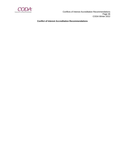

**Conflict of Interest Accreditation Recommendations**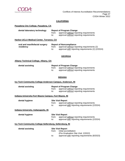

## **CALIFORNIA**

| dental laboratory technology | <b>Report of Program Change</b> |                                         |
|------------------------------|---------------------------------|-----------------------------------------|
|                              | from:                           | approval without reporting requirements |
|                              | to:                             | approval without reporting requirements |

#### **Harbor-UCLA Medical Center, Torrance, CA**

| oral and maxillofacial surgery | <b>Report of Noncompliance</b> |                                                   |
|--------------------------------|--------------------------------|---------------------------------------------------|
| residency                      | trom:                          | approval without reporting requirements (2)       |
|                                | to:                            | approval with reporting requirements (2) (2/2024) |

#### **GEORGIA**

#### **Albany Technical College, Albany, GA**

| dental assisting | <b>Report of Program Change</b> |                                         |
|------------------|---------------------------------|-----------------------------------------|
|                  | trom:                           | approval without reporting requirements |
|                  | to:                             | approval without reporting requirements |

#### **INDIANA**

#### **Ivy Tech Community College-Anderson Campus, Anderson, IN**

| dental assisting                                               | from:<br>to: | <b>Report of Program Change</b><br>approval without reporting requirements<br>approval without reporting requirements |
|----------------------------------------------------------------|--------------|-----------------------------------------------------------------------------------------------------------------------|
| <u>Indiana University-Fort Wayne Campus, Fort Wayne, IN</u>    |              |                                                                                                                       |
| dental hygiene                                                 | from:<br>to: | <b>Site Visit Report</b><br>approval without reporting requirements<br>approval with reporting requirements (2/2024)  |
| <u>Indiana University, Indianapolis, IN</u>                    |              |                                                                                                                       |
| dental hygiene                                                 | from:<br>to: | <b>Site Visit Report</b><br>approval without reporting requirements<br>approval with reporting requirements (2/2024)  |
| <u>Ivy Tech Community College-Sellersburg, Sellersburg, IN</u> |              |                                                                                                                       |
| dental assisting                                               | from:        | <b>Site Visit Report</b><br>initial accreditation<br>(Pre-Graduation Site Visit: 2/2022)                              |

to: approval with reporting requirements (8/2023)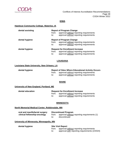

#### **IOWA**

#### **Hawkeye Community College, Waterloo, IA**

| dental assisting | from:<br>to: | <b>Report of Program Change</b><br>approval without reporting requirements<br>approval without reporting requirements        |
|------------------|--------------|------------------------------------------------------------------------------------------------------------------------------|
| dental hygiene   | from:<br>to: | <b>Report of Program Change</b><br>approval without reporting requirements<br>approval without reporting requirements        |
| dental hygiene   | from:<br>to: | <b>Request for Enrollment Increase</b><br>approval without reporting requirements<br>approval without reporting requirements |

#### **LOUISIANA**

#### **Louisiana State University, New Orleans, LA**

| dental hygiene | <b>Report of Sites Where Educational Activity Occurs</b> |                                         |
|----------------|----------------------------------------------------------|-----------------------------------------|
|                | from:                                                    | approval without reporting requirements |
|                | to:                                                      | approval without reporting requirements |

#### **MAINE**

#### **University of New England, Portland, ME**

| dental education | <b>Request for Enrollment Increase</b> |                                               |
|------------------|----------------------------------------|-----------------------------------------------|
|                  |                                        | from: approval without reporting requirements |
|                  |                                        | approval without reporting requirements       |

## **MINNESOTA**

#### **North Memorial Medical Center, Robbinsdale, MN**

| oral and maxillofacial surgery | <b>Discontinued Program</b> |                                             |
|--------------------------------|-----------------------------|---------------------------------------------|
| clinical fellowship-oncology   | from:                       | approval without reporting requirements (1) |
|                                | to:                         | discontinued                                |

#### **University of Minnesota, Minneapolis, MN**

**dental hygiene Site Visit Report** 

from: approval without reporting requirements to: approval with reporting requirements (2/2024)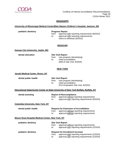

 Conflicts of Interest Accreditation Recommendations Page 39 CODA Winter 2022

## **MISSISSIPPI**

## **University of Mississippi Medical Center/Blair Batson Children's Hospital, Jackson, MS**

**pediatric dentistry endiatric dentistry** Progress Report<br>from: approval v approval with reporting requirements  $(8/2022)$ to: approval with reporting requirements; intent to withdraw (8/2022)

## **MISSOURI**

#### **Kansas City University, Joplin, MO**

**dental education Site Visit Report**

from: new program (developing) to: initial accreditation (Mid-IA Site Visit: 8/2025)

#### **NEW YORK**

| Jacobi Medical Center, Bronx, NY                  |              |                                                                                                                                          |
|---------------------------------------------------|--------------|------------------------------------------------------------------------------------------------------------------------------------------|
| dental public health                              | from:<br>to: | <b>Site Visit Report</b><br>new program (developing)<br>initial accreditation<br>(Pre-Graduation Site Visit: 8/2023)                     |
|                                                   |              | <b>Educational Opportunity Center at State University of New York Buffalo, Buffalo, NY</b>                                               |
| dental assisting                                  | from:<br>to: | <b>Report of Noncompliance</b><br>approval without reporting requirements<br>approval with reporting requirements (8/2023)               |
| <b>Columbia University, New York, NY</b>          |              |                                                                                                                                          |
| dental public health                              | from:<br>to: | <b>Request for Extension of Accreditation</b><br>approval without reporting requirements<br>approval without reporting requirements      |
| Mount Sinai Hospital Medical Center, New York, NY |              |                                                                                                                                          |
| pediatric dentistry                               | from:<br>to: | <b>Site Visit Report</b><br>approval without reporting requirements<br>approval with reporting requirements (2/2024)                     |
| pediatric dentistry                               | from:<br>to: | <b>Request for Enrollment Increase</b><br>approval with reporting requirements (2/2024)<br>approval with reporting requirements (2/2024) |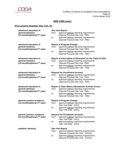

## **NEW YORK (cont.)**

## **NYU Langone Hospitals, New York, NY**

| advanced education in                                           | <b>Site Visit Report</b>                                                                                                       |  |
|-----------------------------------------------------------------|--------------------------------------------------------------------------------------------------------------------------------|--|
| general dentistry                                               | approval without reporting requirements<br>from:                                                                               |  |
| (12-month/optional 2 <sup>nd</sup> year)                        | (Special Focused Site Visit: TBD)<br>approval without reporting requirements<br>to:                                            |  |
|                                                                 | (Special Focused Site Visit: TBD)                                                                                              |  |
|                                                                 |                                                                                                                                |  |
| advanced education in<br>general dentistry                      | <b>Report of Program Change</b><br>approval without reporting requirements<br>from:                                            |  |
| (12-month/optional 2 <sup>nd</sup> year)                        | (Special Focused Site Visit: TBD)                                                                                              |  |
|                                                                 | approval without reporting requirements<br>to:                                                                                 |  |
|                                                                 | (Special Focused Site Visit: TBD)                                                                                              |  |
| advanced education in                                           | Report of Interruption of Education for the Class of 2021                                                                      |  |
| general dentistry                                               | approval without reporting requirements<br>from:                                                                               |  |
| (12-month/optional 2 <sup>nd</sup> year)                        | (Special Focused Site Visit: TBD)<br>approval without reporting requirements<br>to:                                            |  |
|                                                                 | (Special Focused Site Visit: TBD)                                                                                              |  |
| advanced education in                                           | <b>Request for Enrollment Increase</b>                                                                                         |  |
| general dentistry                                               | approval without reporting requirements<br>from:                                                                               |  |
| (12-month/optional 2 <sup>nd</sup> year)                        | (Special Focused Site Visit: TBD)                                                                                              |  |
|                                                                 | approval without reporting requirements<br>to:<br>(Special Focused Site Visit: TBD)                                            |  |
|                                                                 |                                                                                                                                |  |
|                                                                 |                                                                                                                                |  |
| advanced education in                                           | <b>Report of Sites Where Educational Activity Occurs</b>                                                                       |  |
| general dentistry                                               | approval without reporting requirements<br>from:                                                                               |  |
| (12-month/optional 2 <sup>nd</sup> year)                        | (Special Focused Site Visit: TBD)<br>approval without reporting requirements<br>to:                                            |  |
|                                                                 | (Special Focused Site Visit: TBD)                                                                                              |  |
| general practice residency                                      | <b>Report of Program Change</b>                                                                                                |  |
| (12-month/optional $2^{nd}$ year)                               | approval without reporting requirements<br>from:                                                                               |  |
|                                                                 | (Site Visit Date: 2022)                                                                                                        |  |
|                                                                 | approval without reporting requirements<br>to:<br>(Site Visit Date: 2022)                                                      |  |
|                                                                 |                                                                                                                                |  |
| general practice residency<br>(12-month/optional $2^{nd}$ year) | <b>Request for Enrollment Increase</b><br>approval without reporting requirements<br>from:                                     |  |
|                                                                 | (Site Visit Date: 2022)                                                                                                        |  |
|                                                                 | approval without reporting requirements<br>to:                                                                                 |  |
|                                                                 | (Site Visit Date: 2022)                                                                                                        |  |
| pediatric dentistry                                             | <b>Site Visit Report</b>                                                                                                       |  |
|                                                                 | from:<br>approval without reporting requirements                                                                               |  |
|                                                                 | (Special Focused Site Visit: 2/2023)<br>approval without reporting requirements<br>to:<br>(Special Focused Site Visit: 2/2023) |  |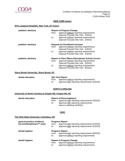

#### **NEW YORK (cont.)**

## **NYU Langone Hospitals, New York, NY (cont.)**

| pediatric dentistry                            | from:<br>to: | <b>Report of Program Change</b><br>approval without reporting requirements<br>(Special Focused Site Visit: 2/2023)<br>approval without reporting requirements<br>(Special Focused Site Visit: 2/2023)                          |
|------------------------------------------------|--------------|--------------------------------------------------------------------------------------------------------------------------------------------------------------------------------------------------------------------------------|
| pediatric dentistry                            | from:<br>to: | <b>Request for Enrollment Increase</b><br>approval without reporting requirements<br>(Special Focused Site Visit: 2/2023)<br>approval without reporting requirements<br>(Special Focused Site Visit: 2/2023)                   |
| pediatric dentistry                            | from:<br>to: | <b>Report of Sites Where Educational Activity Occurs</b><br>approval without reporting requirements<br>(Special Focused Site Visit: 2/2023)<br>approval without reporting requirements<br>(Special Focused Site Visit: 8/2023) |
| <b>Stony Brook University, Stony Brook, NY</b> |              |                                                                                                                                                                                                                                |

| dental education | <b>Site Visit Report</b> |                                               |
|------------------|--------------------------|-----------------------------------------------|
|                  | from:                    | approval without reporting requirements       |
|                  | to:                      | approval with reporting requirements (2/2024) |

#### **NORTH CAROLINA**

#### **University of North Carolina at Chapel Hill, Chapel Hill, NC**

| dental education |              | <b>Report of Noncompliance</b>                                                                                        |  |
|------------------|--------------|-----------------------------------------------------------------------------------------------------------------------|--|
|                  | from:<br>to: | approval with reporting requirements (8/2022)<br>approval with reporting requirements;<br>intent to withdraw (8/2022) |  |
|                  |              |                                                                                                                       |  |

#### **OHIO**

#### **The Ohio State University, Columbus, OH**

| general practice residency<br>(12-month/optional $2^{nd}$ year) | from:<br>to: | <b>Progress Report</b><br>approval with reporting requirements (2/2023)<br>approval with reporting requirements (2/2023) |
|-----------------------------------------------------------------|--------------|--------------------------------------------------------------------------------------------------------------------------|
| dental hygiene                                                  | from:<br>to: | <b>Progress Report</b><br>approval with reporting requirements (8/2023)<br>approval without reporting requirements       |
| dental hygiene                                                  | from:<br>to: | <b>Report of Program Change</b><br>approval without reporting requirements<br>approval without reporting requirements    |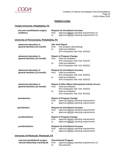

 Conflicts of Interest Accreditation Recommendations Page 42 CODA Winter 2022

#### **PENNSYLVANIA**

## **Temple University, Philadelphia, PA**

| from:<br>to:                                 | <b>Request for Enrollment Increase</b><br>approval without reporting requirements (1)<br>approval without reporting requirements (1)                                                     |
|----------------------------------------------|------------------------------------------------------------------------------------------------------------------------------------------------------------------------------------------|
| University of Pennsylvania, Philadelphia, PA |                                                                                                                                                                                          |
| from:<br>to:                                 | <b>Site Visit Report</b><br>new program (developing)<br>initial accreditation<br>(Pre-Graduation Site Visit: 8/2023)                                                                     |
| from:<br>to:                                 | <b>Report of Program Change</b><br>initial accreditation<br>(Pre-Graduation Site Visit: 8/2023)<br>initial accreditation<br>(Pre-Graduation Site Visit: 8/2023)                          |
| from:<br>to:                                 | <b>Request for Enrollment Increase</b><br>initial accreditation<br>(Pre-Graduation Site Visit: 8/2023)<br>initial accreditation<br>(Pre-Graduation Site Visit: 8/2023)                   |
| from:<br>to:                                 | <b>Report of Sites Where Educational Activity Occurs</b><br>initial accreditation<br>(Pre-Graduation Site Visit: 8/2023)<br>initial accreditation<br>(Pre-Graduation Site Visit: 8/2023) |
| from:<br>to:                                 | <b>Report of Program Change</b><br>approval without reporting requirements<br>approval without reporting requirements                                                                    |
| from:<br>to:                                 | <b>Request for Enrollment Increase</b><br>approval without reporting requirements<br>approval without reporting requirements                                                             |
| from:<br>to:                                 | <b>Report of Program Change</b><br>approval without reporting requirements<br>approval without reporting requirements                                                                    |
| from:<br>to:                                 | <b>Request for Enrollment Increase</b><br>approval without reporting requirements<br>approval without reporting requirements                                                             |
|                                              |                                                                                                                                                                                          |

## **University of Pittsburgh, Pittsburgh, PA**

| oral and maxillofacial surgery   | <b>Discontinued Program</b> |                                             |
|----------------------------------|-----------------------------|---------------------------------------------|
| clinical fellowship-craniofacial | from:                       | approval without reporting requirements (1) |
|                                  | to:                         | discontinued                                |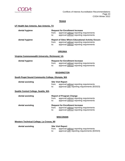

 Conflicts of Interest Accreditation Recommendations Page 43 CODA Winter 2022

## **TEXAS**

#### **UT Health San Antonio, San Antonio, TX**

| dental hygiene | from:<br>to: | <b>Request for Enrollment Increase</b><br>approval without reporting requirements<br>approval without reporting requirements                   |
|----------------|--------------|------------------------------------------------------------------------------------------------------------------------------------------------|
| dental hygiene | from:<br>to: | <b>Report of Sites Where Educational Activity Occurs</b><br>approval without reporting requirements<br>approval without reporting requirements |

#### **VIRGINIA**

#### **Virginia Commonwealth University, Richmond, VA**

| dental hygiene | <b>Request for Enrollment Increase</b> |                                         |
|----------------|----------------------------------------|-----------------------------------------|
|                | from:                                  | approval without reporting requirements |
|                | to:                                    | approval without reporting requirements |

#### **WASHINGTON**

#### **South Puget Sound Community College, Olympia, WA**

| dental assisting |       | <b>Site Visit Report</b>                      |  |
|------------------|-------|-----------------------------------------------|--|
|                  | from: | approval without reporting requirements       |  |
|                  | to:   | approval with reporting requirements (8/2023) |  |

#### **Seattle Central College, Seattle, WA**

| dental assisting | from:<br>to: | <b>Report of Program Change</b><br>approval without reporting requirements<br>approval without reporting requirements        |
|------------------|--------------|------------------------------------------------------------------------------------------------------------------------------|
| dental assisting | from:<br>to: | <b>Request for Enrollment Increase</b><br>approval without reporting requirements<br>approval without reporting requirements |

#### **WISCONSIN**

#### **Western Technical College, La Crosse, WI**

| dental assisting | <b>Site Visit Report</b> |                                               |
|------------------|--------------------------|-----------------------------------------------|
|                  | from:                    | approval without reporting requirements       |
|                  | to:                      | approval with reporting requirements (8/2023) |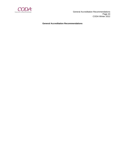

 General Accreditation Recommendations Page 44 CODA Winter 2022

**General Accreditation Recommendations**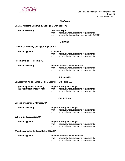

#### **ALABAMA**

#### **Coastal Alabama Community College, Bay Minette, AL**

**dental assisting Site Visit Report**

from: approval without reporting requirements<br>to: approval with reporting requirements (8/2

approval with reporting requirements (8/2023)

#### **ARIZONA**

#### **Mohave Community College, Kingman, AZ**

| dental hygiene | <b>Complaint</b> |                                               |
|----------------|------------------|-----------------------------------------------|
|                |                  | from: approval without reporting requirements |
|                | to:              | approval without reporting requirements       |

#### **Phoenix College, Phoenix, AZ**

| dental assisting | <b>Request for Enrollment Increase</b> |                                         |
|------------------|----------------------------------------|-----------------------------------------|
|                  | from:                                  | approval without reporting requirements |
|                  | to:                                    | approval without reporting requirements |

#### **ARKANSAS**

#### **University of Arkansas for Medical Sciences, Little Rock, AR**

| general practice residency        | <b>Report of Program Change</b> |                                         |
|-----------------------------------|---------------------------------|-----------------------------------------|
| (12-month/optional $2^{nd}$ year) | from:                           | approval without reporting requirements |
|                                   | to:                             | approval without reporting requirements |

## **CALIFORNIA**

#### **College of Alameda, Alameda, CA**

| dental assisting                   | <b>Report of Program Change</b><br>approval without reporting requirements<br>from:<br>approval without reporting requirements<br>to: |
|------------------------------------|---------------------------------------------------------------------------------------------------------------------------------------|
| <u>Cabrillo College, Aptos, CA</u> |                                                                                                                                       |
| dental hygiene                     | <b>Report of Program Change</b><br>annroval without reporting requirements<br>from:                                                   |

#### from: approval without reporting requirements to: approval without reporting requirements

#### **West Los Angeles College, Culver City, CA**

| dental hygiene | <b>Request for Enrollment Increase</b> |                                               |
|----------------|----------------------------------------|-----------------------------------------------|
|                |                                        | from: approval without reporting requirements |
|                | to:                                    | approval without reporting requirements       |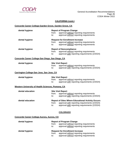

## **CALIFORNIA (cont.)**

| Concorde Career College-Garden Grove, Garden Grove, CA |              |                                                                                                                                                            |  |
|--------------------------------------------------------|--------------|------------------------------------------------------------------------------------------------------------------------------------------------------------|--|
| dental hygiene                                         | from:<br>to: | <b>Report of Program Change</b><br>approval without reporting requirements<br>approval without reporting requirements                                      |  |
| dental hygiene                                         | from:<br>to: | <b>Request for Enrollment Increase</b><br>approval without reporting requirements<br>approval without reporting requirements                               |  |
| dental hygiene                                         | from:<br>to: | <b>Report of Noncompliance</b><br>approval without reporting requirements<br>approval with reporting requirements (2/2024)                                 |  |
| Concorde Career College-San Diego, San Diego, CA       |              |                                                                                                                                                            |  |
| dental hygiene                                         | from:<br>to: | <b>Site Visit Report</b><br>approval without reporting requirements<br>approval with reporting requirements (2/2024)                                       |  |
| Carrington College-San Jose, San Jose, CA              |              |                                                                                                                                                            |  |
| dental hygiene                                         | from:<br>to: | <b>Site Visit Report</b><br>approval without reporting requirements<br>approval with reporting requirements (2/2024)                                       |  |
| Western University of Health Sciences, Pomona, CA      |              |                                                                                                                                                            |  |
| dental education                                       | from:<br>to: | <b>Site Visit Report</b><br>approval without reporting requirements<br>approval with reporting requirements (2/2024)                                       |  |
| dental education                                       | from:<br>to: | <b>Report of Sites Where Educational Activity Occurs</b><br>approval with reporting requirements (2/2024)<br>approval with reporting requirements (2/2024) |  |
|                                                        |              | <b>COLORADO</b>                                                                                                                                            |  |
| Concorde Career College-Aurora, Aurora, CO             |              |                                                                                                                                                            |  |

| dental hygiene | <b>Report of Program Change</b>                  |  |
|----------------|--------------------------------------------------|--|
|                | approval without reporting requirements<br>from: |  |
|                | approval without reporting requirements<br>to:   |  |
|                |                                                  |  |
| dental hygiene | <b>Request for Enrollment Increase</b>           |  |
|                | approval without reporting requirements<br>from: |  |
|                | approval without reporting requirements<br>to:   |  |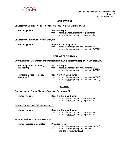

#### **CONNECTICUT**

#### **University of Bridgeport Fones School of Dental Hygiene, Bridgeport, CT**

| dental hygiene                          | from:<br>to: | <b>Site Visit Report</b><br>approval without reporting requirements<br>approval without reporting requirements |
|-----------------------------------------|--------------|----------------------------------------------------------------------------------------------------------------|
| University of New Haven, West Haven, CT |              |                                                                                                                |
| dental hygiene                          | from:        | <b>Report of Noncompliance</b><br>approval with reporting requirements (8/2023)                                |

#### **DISTRICT OF COLUMBIA**

to: approval with reporting requirements (8/2023)

#### **DC Government Department of Behavioral Health/St. Elizabeth's Hospital, Washington, DC**

| general practice residency<br>$(12 \cdot \text{month})$ | from:<br>to: | <b>Site Visit Report</b><br>approval with reporting requirements (2/2023)<br>approval with reporting requirements (2/2023)        |
|---------------------------------------------------------|--------------|-----------------------------------------------------------------------------------------------------------------------------------|
| general practice residency<br>$(12 \cdot \text{month})$ | from:<br>to: | <b>Report of Non-Compliance</b><br>approval with reporting requirements (2/2023)<br>approval with reporting requirements (2/2023) |

## **FLORIDA**

#### **State College of Florida Manatee-Sarasota, Bradenton, FL**

| dental hygiene |     | <b>Report of Program Change</b>               |  |  |
|----------------|-----|-----------------------------------------------|--|--|
|                |     | from: approval without reporting requirements |  |  |
|                | to: | approval without reporting requirements       |  |  |

#### **Eastern Florida State College, Cocoa, FL**

## **dental hygiene Report of Program Change**<br>from: approval without repo

approval without reporting requirements

to: approval without reporting requirements

**McFatter Technical College, Davie, FL**

**dental laboratory technology Progress Report** approval with reporting requirements (8/2022) to: approval with reporting requirements; intent to withdraw (8/2022)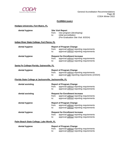

## **FLORIDA (cont.)**

## **Hodges University, Fort Myers, FL**

| dental hygiene                                          | from:<br>to: | <b>Site Visit Report</b><br>new program (developing)<br>initial accreditation<br>(Pre-Graduation Site Visit: 8/2024)         |
|---------------------------------------------------------|--------------|------------------------------------------------------------------------------------------------------------------------------|
| Indian River State College, Fort Pierce, FL             |              |                                                                                                                              |
| dental hygiene                                          | from:<br>to: | <b>Report of Program Change</b><br>approval without reporting requirements<br>approval without reporting requirements        |
| dental hygiene                                          | from:<br>to: | <b>Request for Enrollment Increase</b><br>approval without reporting requirements<br>approval without reporting requirements |
| Santa Fe College-Florida, Gainesville, FL               |              |                                                                                                                              |
| dental hygiene                                          | from:<br>to: | <b>Report of Program Change</b><br>approval without reporting requirements<br>approval with reporting requirements (2/2024)  |
| Florida State College at Jacksonville, Jacksonville, FL |              |                                                                                                                              |
| dental assisting                                        | from:<br>to: | <b>Report of Program Change</b><br>approval without reporting requirements<br>approval without reporting requirements        |
| dental assisting                                        | from:<br>to: | <b>Request for Enrollment Increase</b><br>approval without reporting requirements<br>approval without reporting requirements |
| dental hygiene                                          | from:<br>to: | <b>Report of Program Change</b><br>approval without reporting requirements<br>approval without reporting requirements        |
| dental hygiene                                          | from:<br>to: | <b>Request for Enrollment Increase</b><br>approval without reporting requirements<br>approval without reporting requirements |
| Palm Beach State College, Lake Worth, FL                |              |                                                                                                                              |
| dental hygiene                                          | from:        | <b>Report of Program Change</b><br>approval without reporting requirements                                                   |

to: approval without reporting requirements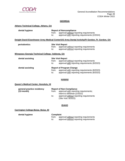

## **GEORGIA**

## **Athens Technical College, Athens, GA**

| dental hygiene                                    | from:<br>to:                                                                                                                   | <b>Report of Noncompliance</b><br>approval without reporting requirements<br>approval with reporting requirements (2/2024) |
|---------------------------------------------------|--------------------------------------------------------------------------------------------------------------------------------|----------------------------------------------------------------------------------------------------------------------------|
|                                                   |                                                                                                                                | <u>Dwight David Eisenhower Army Medical Center/US Army Dental Activity/Ft Gordon, Ft. Gordon, GA</u>                       |
| periodontics                                      | <b>Site Visit Report</b><br>approval without reporting requirements<br>from:<br>approval without reporting requirements<br>to: |                                                                                                                            |
| Wiregrass Georgia Technical College, Valdosta, GA |                                                                                                                                |                                                                                                                            |
| dental assisting                                  | from:<br>to:                                                                                                                   | <b>Site Visit Report</b><br>approval without reporting requirements<br>approval with reporting requirements (8/2023)       |

| dental assisting |     | <b>Report of Program Change</b>                     |
|------------------|-----|-----------------------------------------------------|
|                  |     | from: approval with reporting requirements (8/2023) |
|                  | to: | approval with reporting requirements (8/2023)       |

#### **HAWAII**

## **Queen's Medical Center, Honolulu, HI**

| general practice residency | <b>Report of Non-Compliance</b> |                                                                 |
|----------------------------|---------------------------------|-----------------------------------------------------------------|
| $(12 \cdot \text{month})$  | from:                           | approval with reporting requirements;                           |
|                            |                                 | intent to withdraw (2/2022)                                     |
|                            | to:                             | approval without reporting requirements<br>(Site Visit: 8/2022) |

#### **IDAHO**

## **Carrington College-Boise, Boise, ID**

**dental hygiene Complaint** 

from: approval without reporting requirements to: approval without reporting requirements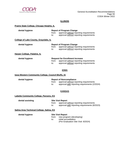

#### **ILLINOIS**

#### **Prairie State College, Chicago Heights, IL**

| dental hygiene                        | from:<br>to: | <b>Report of Program Change</b><br>approval without reporting requirements<br>approval without reporting requirements        |
|---------------------------------------|--------------|------------------------------------------------------------------------------------------------------------------------------|
| College of Lake County, Grayslake, IL |              |                                                                                                                              |
| dental hygiene                        | from:<br>to: | <b>Report of Program Change</b><br>approval without reporting requirements<br>approval without reporting requirements        |
| Harper College, Palatine, IL          |              |                                                                                                                              |
| dental hygiene                        | from:<br>to: | <b>Request for Enrollment Increase</b><br>approval without reporting requirements<br>approval without reporting requirements |

#### **IOWA**

## **Iowa Western Community College, Council Bluffs, IA**

## **dental hygiene Report of Noncompliance**<br>**from:** approval without rep

approval without reporting requirements

to: approval with reporting requirements (2/2024)

#### **KANSAS**

#### **Labette Community College, Parsons, KS**

**dental assisting Site Visit Report** from: approval without reporting requirements to: approval with reporting requirements (8/2023)

#### **Salina Area Technical College, Salina, KS**

#### **dental hygiene Site Visit Report**

from: new program (developing)

to: initial accreditation

(Pre-Graduation Site Visit: 8/2024)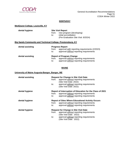

## **KENTUCKY**

## **MedQuest College, Louisville, KY**

| dental hygiene   | <b>Site Visit Report</b>                                                                                 |  |  |
|------------------|----------------------------------------------------------------------------------------------------------|--|--|
|                  | new program (developing)<br>from:<br>initial accreditation<br>to:<br>(Pre-Graduation Site Visit: 8/2024) |  |  |
|                  | Big Sandy Community and Technical College, Prestonsburg, KY                                              |  |  |
| dental assisting | <b>Progress Report</b>                                                                                   |  |  |

| $-$              | .<br>approval with reporting requirements (2/2023)<br>from:<br>approval without reporting requirements<br>to:                         |  |
|------------------|---------------------------------------------------------------------------------------------------------------------------------------|--|
| dental assisting | <b>Report of Program Change</b><br>approval without reporting requirements<br>from:<br>approval without reporting requirements<br>to: |  |

#### **MAINE**

#### **University of Maine Augusta-Bangor, Bangor, ME**

| dental assisting | from:<br>to: | <b>Request for Change in Site Visit Date</b><br>approval without reporting requirements<br>(Site Visit Date: 2022)<br>approval without reporting requirements<br>(Site Visit Date: 2022) |
|------------------|--------------|------------------------------------------------------------------------------------------------------------------------------------------------------------------------------------------|
| dental hygiene   | from:<br>to: | Report of Interruption of Education for the Class of 2021<br>approval without reporting requirements<br>approval without reporting requirements                                          |
| dental hygiene   | from:<br>to: | <b>Report of Sites Where Educational Activity Occurs</b><br>approval without reporting requirements<br>approval without reporting requirements                                           |
| dental hygiene   | from:<br>to: | <b>Request for Change in Site Visit Date</b><br>approval without reporting requirements<br>(Site Visit Date: 2022)<br>approval without reporting requirements<br>(Site Visit Date: 2022) |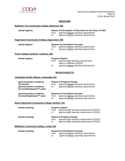

#### **MARYLAND**

## **Baltimore City Community College, Baltimore, MD**

| dental hygiene                                                                                                        | from:<br>to:                                                                                                                                 | Report of Interruption of Education for the Class of 2021<br>approval without reporting requirements<br>approval without reporting requirements |  |  |  |
|-----------------------------------------------------------------------------------------------------------------------|----------------------------------------------------------------------------------------------------------------------------------------------|-------------------------------------------------------------------------------------------------------------------------------------------------|--|--|--|
| <b>Hagerstown Community College, Hagerstown, MD</b>                                                                   |                                                                                                                                              |                                                                                                                                                 |  |  |  |
| dental hygiene                                                                                                        | <b>Request for Enrollment Increase</b><br>approval without reporting requirements<br>from:<br>approval without reporting requirements<br>to: |                                                                                                                                                 |  |  |  |
| Fortis College-Landover, Landover, MD                                                                                 |                                                                                                                                              |                                                                                                                                                 |  |  |  |
| dental hygiene                                                                                                        | from:<br>to:                                                                                                                                 | <b>Progress Report</b><br>approval with reporting requirements;<br>intent to withdraw (2/2022)<br>approval without reporting requirements       |  |  |  |
| <b>MASSACHUSETTS</b>                                                                                                  |                                                                                                                                              |                                                                                                                                                 |  |  |  |
| Cambridge Health Alliance, Cambridge, MA                                                                              |                                                                                                                                              |                                                                                                                                                 |  |  |  |
| general practice residency<br>$(12$ -month)<br>general practice residency<br>(12-month/optional 2 <sup>nd</sup> year) | from:<br>to:                                                                                                                                 | <b>Report of Program Change</b><br>approval without reporting requirements<br>approval without reporting requirements                           |  |  |  |
| general practice residency<br>(12-month/optional $2^{nd}$ year)                                                       | from:<br>to:                                                                                                                                 | <b>Request for Enrollment Increase</b><br>approval without reporting requirements<br>approval without reporting requirements                    |  |  |  |
| Mount Wachusett Community College, Gardner, MA                                                                        |                                                                                                                                              |                                                                                                                                                 |  |  |  |
| dental assisting                                                                                                      | from:<br>to:                                                                                                                                 | <b>Progress Report</b><br>approval with reporting requirements (2/2023)<br>approval with reporting requirements (2/2023)                        |  |  |  |
| dental assisting                                                                                                      | to:                                                                                                                                          | <b>Report of Program Change</b><br>from: approval with reporting requirements (2/2023)<br>approval with reporting requirements (2/2023)         |  |  |  |
| <b>Middlesex Community College, Lowell, MA</b>                                                                        |                                                                                                                                              |                                                                                                                                                 |  |  |  |
| dental assisting                                                                                                      | from:<br>to:                                                                                                                                 | <b>Request for Enrollment Increase</b><br>approval without reporting requirements<br>approval without reporting requirements                    |  |  |  |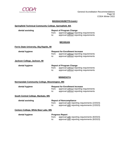

#### **MASSACHUSETTS (cont.)**

## **Springfield Technical Community College, Springfield, MA**

| dental assisting | <b>Report of Program Change</b> |                                         |  |
|------------------|---------------------------------|-----------------------------------------|--|
|                  | from:                           | approval without reporting requirements |  |
|                  | to:                             | approval without reporting requirements |  |

## **MICHIGAN**

#### **Ferris State University, Big Rapids, MI**

| dental hygiene               | <b>Request for Enrollment Increase</b> |                                                                                    |
|------------------------------|----------------------------------------|------------------------------------------------------------------------------------|
|                              | from:<br>to:                           | approval without reporting requirements<br>approval without reporting requirements |
| Jackson College, Jackson, MI |                                        |                                                                                    |

| dental hygiene | <b>Report of Program Change</b> |                                         |
|----------------|---------------------------------|-----------------------------------------|
|                | from:                           | approval without reporting requirements |
|                | to:                             | approval without reporting requirements |

## **MINNESOTA**

#### **Normandale Community College, Bloomington, MN**

| dental hygiene                       | from:<br>to: | <b>Request for Enrollment Increase</b><br>approval without reporting requirements<br>approval without reporting requirements     |
|--------------------------------------|--------------|----------------------------------------------------------------------------------------------------------------------------------|
| South Central College, Mankato, MN   |              |                                                                                                                                  |
| dental assisting                     | from:<br>to: | <b>Report of Noncompliance</b><br>approval with reporting requirements (2/2023)<br>approval with reporting requirements (2/2023) |
| Century College, White Bear Lake, MN |              |                                                                                                                                  |
| dental hygiene                       |              | <b>Progress Report</b>                                                                                                           |

|       | <b>Progress Report</b>                        |
|-------|-----------------------------------------------|
| from: | approval with reporting requirements (8/2023) |
| to:   | approval with reporting requirements (8/2023) |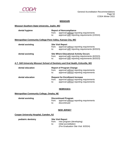

## **MISSOURI**

#### **Missouri Southern State University, Joplin, MO**

| dental hygiene                                                                     | from:<br>to: | <b>Report of Noncompliance</b><br>approval without reporting requirements<br>approval with reporting requirements (2/2024)                      |
|------------------------------------------------------------------------------------|--------------|-------------------------------------------------------------------------------------------------------------------------------------------------|
| Metropolitan Community College-Penn Valley, Kansas City, MO                        |              |                                                                                                                                                 |
| dental assisting                                                                   | from:<br>to: | <b>Site Visit Report</b><br>approval without reporting requirements<br>approval with reporting requirements (8/2023)                            |
| dental assisting                                                                   | from:<br>to: | <b>Site Where Educational Activity Occurs</b><br>approval with reporting requirements (8/2023)<br>approval with reporting requirements (8/2023) |
| A.T. Still University Missouri School of Dentistry and Oral Health, Kirksville, MO |              |                                                                                                                                                 |
| dental education                                                                   | from:<br>to: | <b>Report of Program Change</b><br>approval without reporting requirements<br>approval without reporting requirements                           |
| dental education                                                                   | from:        | <b>Request for Enrollment Increase</b><br>approval without reporting requirements                                                               |

#### **NEBRASKA**

to: approval without reporting requirements

#### **Metropolitan Community College, Omaha, NE**

| dental assisting | <b>Discontinued Program</b> |                                               |
|------------------|-----------------------------|-----------------------------------------------|
|                  |                             | from: approval without reporting requirements |
|                  |                             | discontinued                                  |

#### **NEW JERSEY**

#### **Cooper University Hospital, Camden, NJ**

**pediatric dentistry Site Visit Report**

from: new program (developing) to: initial accreditation (Pre-Graduation Site Visit: 8/2024)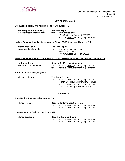

#### **NEW JERSEY (cont.)**

#### **Englewood Hospital and Medical Center, Englewood, NJ**

| general practice residency     |       | <b>Site Visit Report</b>                |  |
|--------------------------------|-------|-----------------------------------------|--|
| (12-month/optional $2nd$ year) | trom: | initial accreditation                   |  |
|                                |       | (Pre-Graduation Site Visit: 8/2021)     |  |
|                                | to:   | approval without reporting requirements |  |

#### **Hudson Regional Hospital, Secaucus, NJ (d.b.a. CTOR Academy, Hoboken, NJ)**

| orthodontics and        |              | <b>Site Visit Report</b>                          |  |
|-------------------------|--------------|---------------------------------------------------|--|
| dentofacial orthopedics | from:<br>to: | new program (developing)<br>initial accreditation |  |
|                         |              | (Pre-Graduation Site Visit: 8/2025)               |  |

#### **Hudson Regional Hospital, Secaucus, NJ (d.b.a. Georgia School of Orthodontics, Atlanta, GA)**

| orthodontics and        |       | <b>Request for Enrollment Increase</b>  |  |
|-------------------------|-------|-----------------------------------------|--|
| dentofacial orthopedics | trom: | approval without reporting requirements |  |
|                         | to:   | approval without reporting requirements |  |

#### **Fortis Institute-Wayne, Wayne, NJ**

| dental assisting | <b>Teach-Out Report</b> |                                         |
|------------------|-------------------------|-----------------------------------------|
|                  | from:                   | approval without reporting requirements |
|                  |                         | (Teach-Out through November 14, 2021)   |
|                  | to:                     | approval without reporting requirements |
|                  |                         | (Teach-Out through October, 2022)       |

#### **NEW MEXICO**

#### **Pima Medical Institute, Albuquerque, NM**

| dental hygiene | <b>Request for Enrollment Increase</b> |                                                                                    |
|----------------|----------------------------------------|------------------------------------------------------------------------------------|
|                | from:<br>to:                           | approval without reporting requirements<br>approval without reporting requirements |

## **Luna Community College, Las Vegas, NM**

| dental assisting |       | <b>Report of Program Change</b>         |
|------------------|-------|-----------------------------------------|
|                  | from: | approval without reporting requirements |
|                  | to:   | approval without reporting requirements |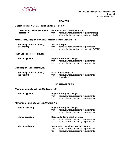

## **NEW YORK**

## **Lincoln Medical & Mental Health Center, Bronx, NY**

| oral and maxillofacial surgery<br>residency                         | from:<br>to: | <b>Request for Enrollment Increase</b><br>approval without reporting requirements (1)<br>approval without reporting requirements (1) |
|---------------------------------------------------------------------|--------------|--------------------------------------------------------------------------------------------------------------------------------------|
| <b>Kings County Hospital Downstate Medical Center, Brooklyn, NY</b> |              |                                                                                                                                      |
| general practice residency<br>$(12$ -month)                         | from:<br>to: | <b>Site Visit Report</b><br>approval without reporting requirements<br>approval with reporting requirements (8/2023)                 |
| Plaza College, Forest Hills, NY                                     |              |                                                                                                                                      |
| dental hygiene                                                      | from:<br>to: | <b>Report of Program Change</b><br>approval without reporting requirements<br>approval without reporting requirements                |
| <b>Ellis Hospital, Schenectady, NY</b>                              |              |                                                                                                                                      |
| general practice residency<br>$(12$ -month)                         | from:<br>to: | <b>Discontinued Program</b><br>approval without reporting requirements<br>discontinued                                               |
|                                                                     |              | <b>NORTH CAROLINA</b>                                                                                                                |

## **Wayne Community College, Goldsboro, NC**

| dental hygiene                         | from:<br>to: | <b>Report of Program Change</b><br>approval without reporting requirements<br>approval without reporting requirements        |
|----------------------------------------|--------------|------------------------------------------------------------------------------------------------------------------------------|
| Alamance Community College, Graham, NC |              |                                                                                                                              |
| dental assisting                       | from:<br>to: | <b>Report of Program Change</b><br>approval without reporting requirements<br>approval without reporting requirements        |
| dental assisting                       | from:<br>to: | <b>Request for Enrollment Increase</b><br>approval without reporting requirements<br>approval without reporting requirements |
| dental assisting                       | from:        | <b>Site Where Educational Activity Occurs</b><br>approval without reporting requirements                                     |

to: approval without reporting requirements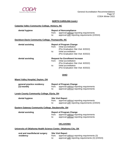

#### **NORTH CAROLINA (cont.)**

#### **Catawba Valley Community College, Hickory, NC**

| dental hygiene                                    | from:<br>to: | <b>Report of Noncompliance</b><br>approval without reporting requirements<br>approval with reporting requirements (2/2024)                                             |
|---------------------------------------------------|--------------|------------------------------------------------------------------------------------------------------------------------------------------------------------------------|
| Davidson-Davie Community College, Thomasville, NC |              |                                                                                                                                                                        |
| dental assisting                                  | from:<br>to: | <b>Report of Program Change</b><br>initial accreditation<br>(Pre-Graduation Site Visit: 8/2022)<br>initial accreditation<br>(Pre-Graduation Site Visit: 8/2022)        |
| dental assisting                                  | from:<br>to: | <b>Request for Enrollment Increase</b><br>initial accreditation<br>(Pre-Graduation Site Visit: 8/2022)<br>initial accreditation<br>(Pre-Graduation Site Visit: 8/2022) |

#### **OHIO**

#### **Miami Valley Hospital, Dayton, OH**

| general practice residency |     | <b>Report of Program Change</b>               |
|----------------------------|-----|-----------------------------------------------|
| (12-month)                 |     | from: approval without reporting requirements |
|                            | to: | approval without reporting requirements       |

#### **Lorain County Community College, Elyria, OH**

| dental hygiene | <b>Site Visit Report</b> |                                               |
|----------------|--------------------------|-----------------------------------------------|
|                | from:                    | approval without reporting requirements       |
|                | to:                      | approval with reporting requirements (2/2024) |

#### **Eastern Gateway Community College, Steubenville, OH**

| dental assisting | <b>Report of Program Change</b> |                                         |
|------------------|---------------------------------|-----------------------------------------|
|                  | from:                           | approval without reporting requirements |
|                  | to:                             | approval without reporting requirements |

## **OKLAHOMA**

#### **University of Oklahoma Health Science Center, Oklahoma City, OK**

| oral and maxillofacial surgery | <b>Site Visit Report</b> |                                                   |
|--------------------------------|--------------------------|---------------------------------------------------|
| residency                      | trom:                    | approval without reporting requirements (3)       |
|                                | to:                      | approval with reporting requirements (3) (2/2024) |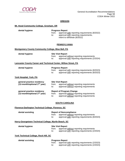

## **OREGON**

#### **Mt. Hood Community College, Gresham, OR**

| dental hygiene |              | <b>Progress Report</b>                                                                                                |  |
|----------------|--------------|-----------------------------------------------------------------------------------------------------------------------|--|
|                | trom:<br>to: | approval with reporting requirements (8/2022)<br>approval with reporting requirements,<br>intent to withdraw (8/2022) |  |

#### **PENNSYLVANIA**

#### **Montgomery County Community College, Blue Bell, PA**

| dental hygiene |       | <b>Site Visit Report</b>                      |  |
|----------------|-------|-----------------------------------------------|--|
|                | trom: | approval without reporting requirements       |  |
|                | to:   | approval with reporting requirements (2/2024) |  |

#### **Lancaster County Career and Technical Center, Willow Street, PA**

| dental hygiene         |              | <b>Progress Report</b>                                                                         |  |  |
|------------------------|--------------|------------------------------------------------------------------------------------------------|--|--|
|                        | from:<br>to: | approval with reporting requirements (8/2023)<br>approval with reporting requirements (8/2023) |  |  |
| ork Hospital, York, PA |              |                                                                                                |  |  |

#### **York Hospital, York, PA**

| general practice residency<br>(12-month/optional $2nd$ year) | from:<br>to: | <b>Site Visit Report</b><br>approval without reporting requirements<br>approval without reporting requirements        |
|--------------------------------------------------------------|--------------|-----------------------------------------------------------------------------------------------------------------------|
| general practice residency<br>(12-month/optional $2nd$ year) | from:<br>to: | <b>Report of Program Change</b><br>approval without reporting requirements<br>approval without reporting requirements |

#### **SOUTH CAROLINA**

#### **Florence-Darlington Technical College, Florence, SC**

| dental assisting |              | <b>Report of Noncompliance</b>                                                           |
|------------------|--------------|------------------------------------------------------------------------------------------|
|                  | from:<br>to: | approval without reporting requirements<br>approval with reporting requirements (8/2023) |
|                  |              |                                                                                          |

#### **Horry-Georgetown Technical College, Myrtle Beach, SC**

|       | <b>Site Visit Report</b>                      |  |  |  |
|-------|-----------------------------------------------|--|--|--|
| from: | approval without reporting requirements       |  |  |  |
| to:   | approval with reporting requirements (2/2024) |  |  |  |

## **York Technical College, Rock Hill, SC**

**dental hygiene** 

| dental assisting | <b>Progress Report</b>                              |  |
|------------------|-----------------------------------------------------|--|
|                  | from: approval with reporting requirements (2/2023) |  |
|                  | approval with reporting requirements (2/2023)       |  |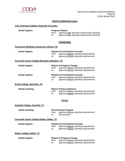

#### **SOUTH CAROLINA (cont.)**

## **York Technical College, Rock Hill, SC (cont.)**

| dental hygiene | <b>Progress Report</b> |                                                                                                |  |
|----------------|------------------------|------------------------------------------------------------------------------------------------|--|
|                | from:<br>to:           | approval with reporting requirements (8/2023)<br>approval with reporting requirements (8/2023) |  |

#### **TENNESSEE**

#### **Tennessee Wesleyan University, Athens, TN**

| dental hygiene                               | from:<br>to: | <b>Request for Enrollment Increase</b><br>approval without reporting requirements<br>approval without reporting requirements |
|----------------------------------------------|--------------|------------------------------------------------------------------------------------------------------------------------------|
| Concorde Career College-Memphis, Memphis, TN |              |                                                                                                                              |
| dental hygiene                               | from:<br>to: | <b>Report of Program Change</b><br>approval without reporting requirements<br>approval without reporting requirements        |
| dental hygiene                               | from:<br>to: | <b>Request for Enrollment Increase</b><br>approval without reporting requirements<br>approval without reporting requirements |
| South College, Nashville, TN                 |              |                                                                                                                              |

| dental assisting | <b>Report of Noncompliance</b> |                                         |
|------------------|--------------------------------|-----------------------------------------|
|                  | from:                          | approval without reporting requirements |
|                  | to:                            | approval without reporting requirements |

#### **TEXAS**

## **Amarillo College, Amarillo, TX**

| dental assisting | <b>Discontinued Program</b> |                                         |
|------------------|-----------------------------|-----------------------------------------|
|                  | from:                       | approval without reporting requirements |
|                  | to:                         | discontinued                            |

#### **Concorde Career College-Dallas, Dallas, TX**

| dental hygiene             | <b>Request for Enrollment Increase</b>           |  |  |
|----------------------------|--------------------------------------------------|--|--|
|                            | approval without reporting requirements<br>from: |  |  |
|                            | approval without reporting requirements<br>to:   |  |  |
| Dallas College, Dallas, TX |                                                  |  |  |
| dental hygiene             | <b>Report of Program Change</b>                  |  |  |

|       | Report of Program Unange                |
|-------|-----------------------------------------|
| from: | approval without reporting requirements |
| to:   | approval without reporting requirements |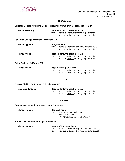

## **TEXAS (cont.)**

#### **Coleman College for Health Sciences Houston Community College, Houston, TX**

| dental assisting                         | from:<br>to: | <b>Request for Enrollment Increase</b><br>approval without reporting requirements<br>approval without reporting requirements |
|------------------------------------------|--------------|------------------------------------------------------------------------------------------------------------------------------|
| Lone Star College-Kingwood, Kingwood, TX |              |                                                                                                                              |
| dental hygiene                           | from:<br>to: | <b>Progress Report</b><br>approval with reporting requirements (8/2023)<br>approval without reporting requirements           |
| dental hygiene                           | from:<br>to: | <b>Request for Enrollment Increase</b><br>approval without reporting requirements<br>approval without reporting requirements |
| <b>Collin College, McKinney, TX</b>      |              |                                                                                                                              |
| dental hygiene                           | from:        | <b>Report of Program Change</b><br>approval without reporting requirements                                                   |

#### **UTAH**

#### **Primary Children's Hospital, Salt Lake City, UT**

| pediatric dentistry | <b>Request for Enrollment Increase</b> |                                         |
|---------------------|----------------------------------------|-----------------------------------------|
|                     | from:                                  | approval without reporting requirements |
|                     | to:                                    | approval without reporting requirements |

#### **VIRGINIA**

#### **Germanna Community College, Locust Grove, VA**

#### **dental hygiene Site Visit Report**

from: new program (developing)<br>to: initial accreditation initial accreditation

(Pre-Graduation Site Visit: 8/2024)

to: approval without reporting requirements

#### **Wytheville Community College, Wytheville, VA**

## **dental hygiene Report of Noncompliance**

from: approval with reporting requirements (2/2023) to: approval with reporting requirements (2/2023)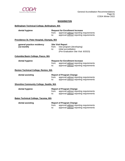

## **WASHINGTON**

## **Bellingham Technical College, Bellingham, WA**

| dental hygiene                                  | from:<br>to: | <b>Request for Enrollment Increase</b><br>approval without reporting requirements<br>approval without reporting requirements |  |
|-------------------------------------------------|--------------|------------------------------------------------------------------------------------------------------------------------------|--|
| Providence St. Peter Hospital, Olympia, WA      |              |                                                                                                                              |  |
| general practice residency<br>$(12$ -month)     | from:<br>to: | <b>Site Visit Report</b><br>new program (developing)<br>initial accreditation<br>(Pre-Graduation Site Visit: 8/2023)         |  |
| Columbia Basin College, Pasco, WA               |              |                                                                                                                              |  |
| dental hygiene                                  | from:<br>to: | <b>Request for Enrollment Increase</b><br>approval without reporting requirements<br>approval without reporting requirements |  |
| <b>Renton Technical College, Renton, WA</b>     |              |                                                                                                                              |  |
| dental assisting                                | from:<br>to: | <b>Report of Program Change</b><br>approval without reporting requirements<br>approval without reporting requirements        |  |
| <b>Shoreline Community College, Seattle, WA</b> |              |                                                                                                                              |  |
| dental hygiene                                  | from:<br>to: | <b>Report of Program Change</b><br>approval without reporting requirements<br>approval without reporting requirements        |  |
| <b>Bates Technical College, Tacoma, WA</b>      |              |                                                                                                                              |  |
| dental assisting                                | from:<br>to: | <b>Report of Program Change</b><br>approval without reporting requirements<br>approval without reporting requirements        |  |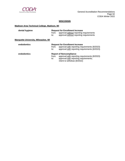

## **WISCONSIN**

## **Madison Area Technical College, Madison, WI**

| dental hygiene                             | from:<br>to: | <b>Request for Enrollment Increase</b><br>approval without reporting requirements<br>approval without reporting requirements                            |
|--------------------------------------------|--------------|---------------------------------------------------------------------------------------------------------------------------------------------------------|
| <b>Marquette University, Milwaukee, WI</b> |              |                                                                                                                                                         |
| endodontics                                | from:<br>to: | <b>Request for Enrollment Increase</b><br>approval with reporting requirements (8/2023)<br>approval with reporting requirements (8/2023)                |
| endodontics                                | from:<br>to: | <b>Report of Noncompliance</b><br>approval with reporting requirements (8/2023)<br>approval with reporting requirements;<br>intent to withdraw (8/2022) |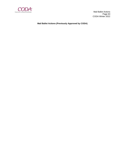

 Mail Ballot Actions Page 63 CODA Winter 2022

**Mail Ballot Actions (Previously Approved by CODA)**